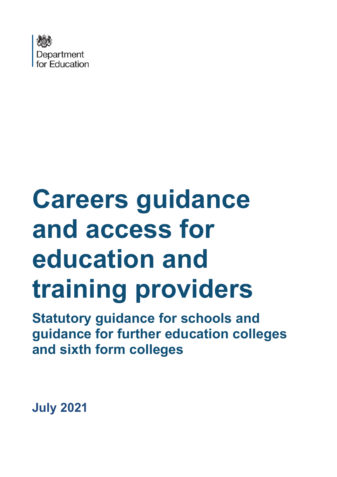

# **Careers guidance and access for education and training providers Statutory guidance for schools and**

**guidance for further education colleges and sixth form colleges**

**July 2021**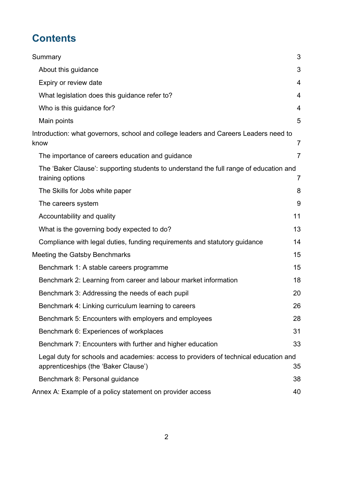# **Contents**

| Summary                                                                                                                      | 3              |
|------------------------------------------------------------------------------------------------------------------------------|----------------|
| About this guidance                                                                                                          | 3              |
| Expiry or review date                                                                                                        | 4              |
| What legislation does this guidance refer to?                                                                                | $\overline{4}$ |
| Who is this guidance for?                                                                                                    | 4              |
| Main points                                                                                                                  | 5              |
| Introduction: what governors, school and college leaders and Careers Leaders need to<br>know                                 | 7              |
| The importance of careers education and guidance                                                                             | $\overline{7}$ |
| The 'Baker Clause': supporting students to understand the full range of education and<br>training options                    | $\overline{7}$ |
| The Skills for Jobs white paper                                                                                              | 8              |
| The careers system                                                                                                           | 9              |
| Accountability and quality                                                                                                   | 11             |
| What is the governing body expected to do?                                                                                   | 13             |
| Compliance with legal duties, funding requirements and statutory guidance                                                    | 14             |
| Meeting the Gatsby Benchmarks                                                                                                | 15             |
| Benchmark 1: A stable careers programme                                                                                      | 15             |
| Benchmark 2: Learning from career and labour market information                                                              | 18             |
| Benchmark 3: Addressing the needs of each pupil                                                                              | 20             |
| Benchmark 4: Linking curriculum learning to careers                                                                          | 26             |
| Benchmark 5: Encounters with employers and employees                                                                         | 28             |
| Benchmark 6: Experiences of workplaces                                                                                       | 31             |
| Benchmark 7: Encounters with further and higher education                                                                    | 33             |
| Legal duty for schools and academies: access to providers of technical education and<br>apprenticeships (the 'Baker Clause') | 35             |
| Benchmark 8: Personal guidance                                                                                               | 38             |
| Annex A: Example of a policy statement on provider access                                                                    | 40             |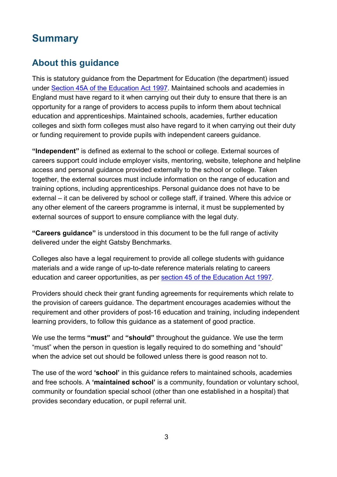# <span id="page-2-0"></span>**Summary**

# <span id="page-2-1"></span>**About this guidance**

This is statutory guidance from the Department for Education (the department) issued under [Section 45A of the Education Act 1997.](https://www.legislation.gov.uk/ukpga/1997/44/section/45A) Maintained schools and academies in England must have regard to it when carrying out their duty to ensure that there is an opportunity for a range of providers to access pupils to inform them about technical education and apprenticeships. Maintained schools, academies, further education colleges and sixth form colleges must also have regard to it when carrying out their duty or funding requirement to provide pupils with independent careers guidance.

**"Independent"** is defined as external to the school or college. External sources of careers support could include employer visits, mentoring, website, telephone and helpline access and personal guidance provided externally to the school or college. Taken together, the external sources must include information on the range of education and training options, including apprenticeships. Personal guidance does not have to be external – it can be delivered by school or college staff, if trained. Where this advice or any other element of the careers programme is internal, it must be supplemented by external sources of support to ensure compliance with the legal duty.

**"Careers guidance"** is understood in this document to be the full range of activity delivered under the eight Gatsby Benchmarks.

Colleges also have a legal requirement to provide all college students with quidance materials and a wide range of up-to-date reference materials relating to careers education and career opportunities, as per [section 45 of the Education Act 1997.](https://www.legislation.gov.uk/ukpga/1997/44/section/45)

Providers should check their grant funding agreements for requirements which relate to the provision of careers guidance. The department encourages academies without the requirement and other providers of post-16 education and training, including independent learning providers, to follow this guidance as a statement of good practice.

We use the terms **"must"** and **"should"** throughout the guidance. We use the term "must" when the person in question is legally required to do something and "should" when the advice set out should be followed unless there is good reason not to.

The use of the word **'school'** in this guidance refers to maintained schools, academies and free schools. A **'maintained school'** is a community, foundation or voluntary school, community or foundation special school (other than one established in a hospital) that provides secondary education, or pupil referral unit.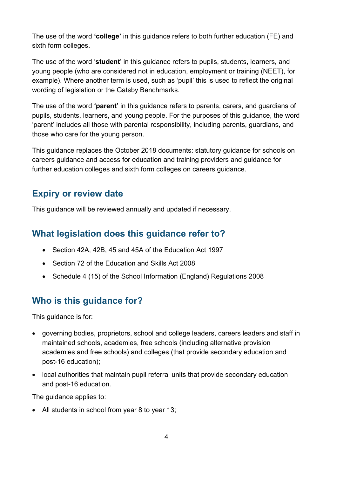The use of the word **'college'** in this guidance refers to both further education (FE) and sixth form colleges.

The use of the word '**student**' in this guidance refers to pupils, students, learners, and young people (who are considered not in education, employment or training (NEET), for example). Where another term is used, such as 'pupil' this is used to reflect the original wording of legislation or the Gatsby Benchmarks.

The use of the word **'parent'** in this guidance refers to parents, carers, and guardians of pupils, students, learners, and young people. For the purposes of this guidance, the word 'parent' includes all those with parental responsibility, including parents, guardians, and those who care for the young person.

This guidance replaces the October 2018 documents: statutory guidance for schools on careers guidance and access for education and training providers and guidance for further education colleges and sixth form colleges on careers guidance.

## <span id="page-3-0"></span>**Expiry or review date**

This guidance will be reviewed annually and updated if necessary.

## <span id="page-3-1"></span>**What legislation does this guidance refer to?**

- Section 42A, 42B, 45 and 45A of the Education Act 1997
- Section 72 of the Education and Skills Act 2008
- Schedule 4 (15) of the School Information (England) Regulations 2008

# <span id="page-3-2"></span>**Who is this guidance for?**

This guidance is for:

- governing bodies, proprietors, school and college leaders, careers leaders and staff in maintained schools, academies, free schools (including alternative provision academies and free schools) and colleges (that provide secondary education and post-16 education);
- local authorities that maintain pupil referral units that provide secondary education and post-16 education.

The guidance applies to:

• All students in school from year 8 to year 13;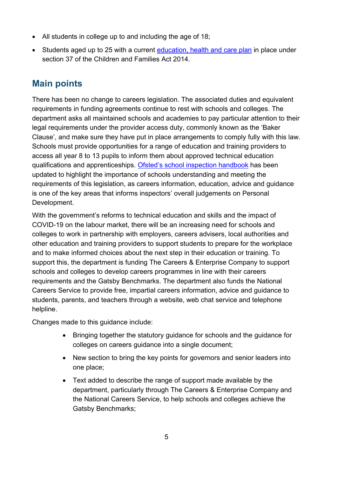- All students in college up to and including the age of 18;
- Students aged up to 25 with a current [education, health and care plan](https://www.gov.uk/children-with-special-educational-needs/extra-SEN-help) in place under section 37 of the Children and Families Act 2014.

# <span id="page-4-0"></span>**Main points**

There has been no change to careers legislation. The associated duties and equivalent requirements in funding agreements continue to rest with schools and colleges. The department asks all maintained schools and academies to pay particular attention to their legal requirements under the provider access duty, commonly known as the 'Baker Clause', and make sure they have put in place arrangements to comply fully with this law. Schools must provide opportunities for a range of education and training providers to access all year 8 to 13 pupils to inform them about approved technical education qualifications and apprenticeships. [Ofsted's school inspection handbook](https://www.gov.uk/government/publications/school-inspection-handbook-eif) has been updated to highlight the importance of schools understanding and meeting the requirements of this legislation, as careers information, education, advice and guidance is one of the key areas that informs inspectors' overall judgements on Personal Development.

With the government's reforms to technical education and skills and the impact of COVID-19 on the labour market, there will be an increasing need for schools and colleges to work in partnership with employers, careers advisers, local authorities and other education and training providers to support students to prepare for the workplace and to make informed choices about the next step in their education or training. To support this, the department is funding The Careers & Enterprise Company to support schools and colleges to develop careers programmes in line with their careers requirements and the Gatsby Benchmarks. The department also funds the National Careers Service to provide free, impartial careers information, advice and guidance to students, parents, and teachers through a website, web chat service and telephone helpline.

Changes made to this guidance include:

- Bringing together the statutory guidance for schools and the guidance for colleges on careers guidance into a single document;
- New section to bring the key points for governors and senior leaders into one place;
- Text added to describe the range of support made available by the department, particularly through The Careers & Enterprise Company and the National Careers Service, to help schools and colleges achieve the Gatsby Benchmarks;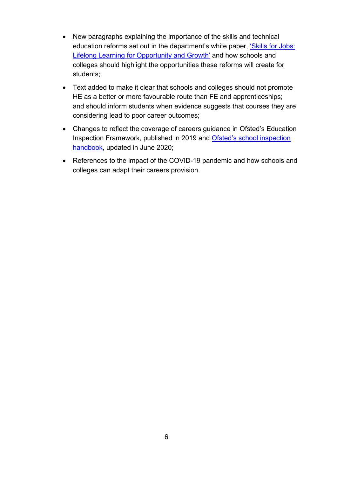- New paragraphs explaining the importance of the skills and technical education reforms set out in the department's white paper, ['Skills for Jobs:](https://www.gov.uk/government/publications/skills-for-jobs-lifelong-learning-for-opportunity-and-growth)  [Lifelong Learning for Opportunity and Growth'](https://www.gov.uk/government/publications/skills-for-jobs-lifelong-learning-for-opportunity-and-growth) and how schools and colleges should highlight the opportunities these reforms will create for students;
- Text added to make it clear that schools and colleges should not promote HE as a better or more favourable route than FE and apprenticeships; and should inform students when evidence suggests that courses they are considering lead to poor career outcomes;
- Changes to reflect the coverage of careers guidance in Ofsted's Education Inspection Framework, published in 2019 and [Ofsted's school inspection](https://www.gov.uk/government/publications/school-inspection-handbook-eif)  [handbook,](https://www.gov.uk/government/publications/school-inspection-handbook-eif) updated in June 2020;
- References to the impact of the COVID-19 pandemic and how schools and colleges can adapt their careers provision.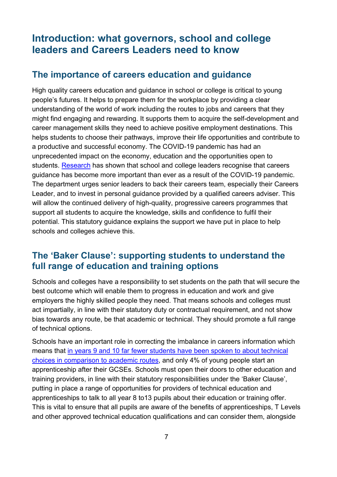# <span id="page-6-0"></span>**Introduction: what governors, school and college leaders and Careers Leaders need to know**

## <span id="page-6-1"></span>**The importance of careers education and guidance**

High quality careers education and guidance in school or college is critical to young people's futures. It helps to prepare them for the workplace by providing a clear understanding of the world of work including the routes to jobs and careers that they might find engaging and rewarding. It supports them to acquire the self-development and career management skills they need to achieve positive employment destinations. This helps students to choose their pathways, improve their life opportunities and contribute to a productive and successful economy. The COVID-19 pandemic has had an unprecedented impact on the economy, education and the opportunities open to students. [Research](https://www.gatsby.org.uk/uploads/education/reports/pdf/secondary-school-and-college-leadership-views-on-the-impact-of-the-covid-19-pandemic-on-careers-guidance-summer-2020.pdf) has shown that school and college leaders recognise that careers guidance has become more important than ever as a result of the COVID-19 pandemic. The department urges senior leaders to back their careers team, especially their Careers Leader, and to invest in personal guidance provided by a qualified careers adviser. This will allow the continued delivery of high-quality, progressive careers programmes that support all students to acquire the knowledge, skills and confidence to fulfil their potential. This statutory guidance explains the support we have put in place to help schools and colleges achieve this.

## <span id="page-6-2"></span>**The 'Baker Clause': supporting students to understand the full range of education and training options**

Schools and colleges have a responsibility to set students on the path that will secure the best outcome which will enable them to progress in education and work and give employers the highly skilled people they need. That means schools and colleges must act impartially, in line with their statutory duty or contractual requirement, and not show bias towards any route, be that academic or technical. They should promote a full range of technical options.

Schools have an important role in correcting the imbalance in careers information which means that [in years 9 and 10 far fewer students have been spoken to about technical](https://www.youthemployment.org.uk/dev/wp-content/uploads/2019/05/2019-Youth-Employment-UK-Report_FINAL-1.pdf)  [choices in comparison to academic routes,](https://www.youthemployment.org.uk/dev/wp-content/uploads/2019/05/2019-Youth-Employment-UK-Report_FINAL-1.pdf) and only 4% of young people start an apprenticeship after their GCSEs. Schools must open their doors to other education and training providers, in line with their statutory responsibilities under the 'Baker Clause', putting in place a range of opportunities for providers of technical education and apprenticeships to talk to all year 8 to13 pupils about their education or training offer. This is vital to ensure that all pupils are aware of the benefits of apprenticeships, T Levels and other approved technical education qualifications and can consider them, alongside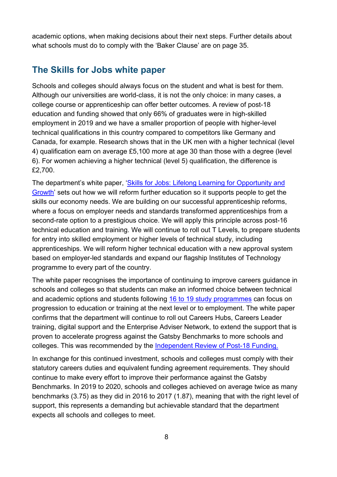academic options, when making decisions about their next steps. Further details about what schools must do to comply with the 'Baker Clause' are on page 35.

## <span id="page-7-0"></span>**The Skills for Jobs white paper**

Schools and colleges should always focus on the student and what is best for them. Although our universities are world-class, it is not the only choice: in many cases, a college course or apprenticeship can offer better outcomes. A review of post-18 education and funding showed that only 66% of graduates were in high-skilled employment in 2019 and we have a smaller proportion of people with higher-level technical qualifications in this country compared to competitors like Germany and Canada, for example. Research shows that in the UK men with a higher technical (level 4) qualification earn on average £5,100 more at age 30 than those with a degree (level 6). For women achieving a higher technical (level 5) qualification, the difference is £2,700.

The department's white paper, ['Skills for Jobs: Lifelong Learning for Opportunity and](https://www.gov.uk/government/publications/skills-for-jobs-lifelong-learning-for-opportunity-and-growth)  [Growth'](https://www.gov.uk/government/publications/skills-for-jobs-lifelong-learning-for-opportunity-and-growth) sets out how we will reform further education so it supports people to get the skills our economy needs. We are building on our successful apprenticeship reforms, where a focus on employer needs and standards transformed apprenticeships from a second-rate option to a prestigious choice. We will apply this principle across post-16 technical education and training. We will continue to roll out T Levels, to prepare students for entry into skilled employment or higher levels of technical study, including apprenticeships. We will reform higher technical education with a new approval system based on employer-led standards and expand our flagship Institutes of Technology programme to every part of the country.

The white paper recognises the importance of continuing to improve careers guidance in schools and colleges so that students can make an informed choice between technical and academic options and students following [16 to 19 study programmes](https://www.gov.uk/government/publications/16-to-19-study-programmes-guide-for-providers) can focus on progression to education or training at the next level or to employment. The white paper confirms that the department will continue to roll out Careers Hubs, Careers Leader training, digital support and the Enterprise Adviser Network, to extend the support that is proven to accelerate progress against the Gatsby Benchmarks to more schools and colleges. This was recommended by the [Independent Review of Post-18 Funding.](https://www.gov.uk/government/publications/post-18-review-of-education-and-funding-independent-panel-report)

In exchange for this continued investment, schools and colleges must comply with their statutory careers duties and equivalent funding agreement requirements. They should continue to make every effort to improve their performance against the Gatsby Benchmarks. In 2019 to 2020, schools and colleges achieved on average twice as many benchmarks (3.75) as they did in 2016 to 2017 (1.87), meaning that with the right level of support, this represents a demanding but achievable standard that the department expects all schools and colleges to meet.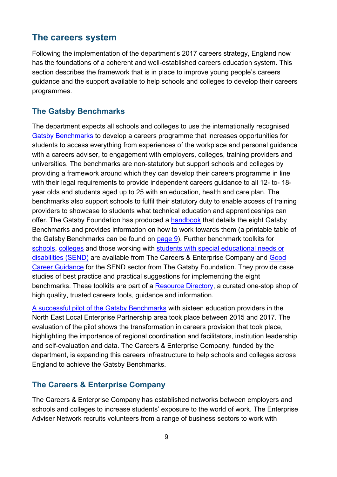## <span id="page-8-0"></span>**The careers system**

Following the implementation of the department's 2017 careers strategy, England now has the foundations of a coherent and well-established careers education system. This section describes the framework that is in place to improve young people's careers guidance and the support available to help schools and colleges to develop their careers programmes.

## **The Gatsby Benchmarks**

The department expects all schools and colleges to use the internationally recognised [Gatsby Benchmarks](http://www.gatsby.org.uk/uploads/education/reports/pdf/gatsby-sir-john-holman-good-career-guidance-2014.pdf) to develop a careers programme that increases opportunities for students to access everything from experiences of the workplace and personal guidance with a careers adviser, to engagement with employers, colleges, training providers and universities. The benchmarks are non-statutory but support schools and colleges by providing a framework around which they can develop their careers programme in line with their legal requirements to provide independent careers guidance to all 12- to- 18 year olds and students aged up to 25 with an education, health and care plan. The benchmarks also support schools to fulfil their statutory duty to enable access of training providers to showcase to students what technical education and apprenticeships can offer. The Gatsby Foundation has produced a [handbook](https://www.gatsby.org.uk/education/latest/gatsby-launches-good-career-guidance-reaching-the-gatsby-benchmarks) that details the eight Gatsby Benchmarks and provides information on how to work towards them (a printable table of the Gatsby Benchmarks can be found on [page 9\)](https://www.gatsby.org.uk/uploads/education/good-career-guidance-handbook-digital.pdf). Further benchmark toolkits for [schools,](https://resources.careersandenterprise.co.uk/resources/gatsby-benchmark-toolkit-schools) [colleges](https://resources.careersandenterprise.co.uk/resources/gatsby-benchmark-toolkit-colleges) and those working with [students with special educational needs or](https://resources.careersandenterprise.co.uk/resources/gatsby-benchmark-toolkit-send)  [disabilities \(SEND\)](https://resources.careersandenterprise.co.uk/resources/gatsby-benchmark-toolkit-send) are available from The Careers & Enterprise Company and [Good](https://www.gatsby.org.uk/uploads/education/good-career-guidance-perspectives-from-the-send-sector.pdf) [Career Guidance](https://www.gatsby.org.uk/uploads/education/good-career-guidance-perspectives-from-the-send-sector.pdf) for the SEND sector from The Gatsby Foundation. They provide case studies of best practice and practical suggestions for implementing the eight benchmarks. These toolkits are part of a [Resource Directory,](https://resources.careersandenterprise.co.uk/) a curated one-stop shop of high quality, trusted careers tools, guidance and information.

[A successful pilot of the Gatsby Benchmarks](https://www.gatsby.org.uk/uploads/education/ne-pilot-evaluation-full-report.pdf) with sixteen education providers in the North East Local Enterprise Partnership area took place between 2015 and 2017. The evaluation of the pilot shows the transformation in careers provision that took place, highlighting the importance of regional coordination and facilitators, institution leadership and self-evaluation and data. The Careers & Enterprise Company, funded by the department, is expanding this careers infrastructure to help schools and colleges across England to achieve the Gatsby Benchmarks.

#### **The Careers & Enterprise Company**

The Careers & Enterprise Company has established networks between employers and schools and colleges to increase students' exposure to the world of work. The Enterprise Adviser Network recruits volunteers from a range of business sectors to work with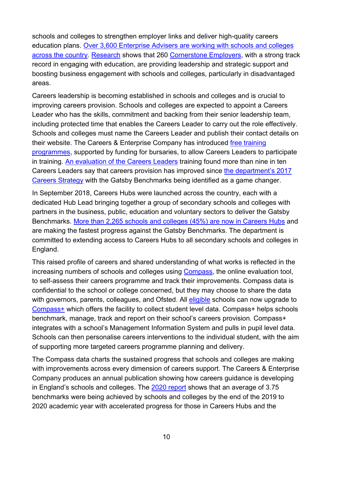schools and colleges to strengthen employer links and deliver high-quality careers education plans. Over 3,600 Enterprise Advisers [are working with schools and colleges](https://www.careersandenterprise.co.uk/our-research/careers-education-englands-schools-and-colleges-2020)  [across the country. Research](https://www.careersandenterprise.co.uk/our-research/careers-education-englands-schools-and-colleges-2020) shows that 260 [Cornerstone Employers,](https://www.careersandenterprise.co.uk/employers-volunteers/cornerstone-employers) with a strong track record in engaging with education, are providing leadership and strategic support and boosting business engagement with schools and colleges, particularly in disadvantaged areas.

Careers leadership is becoming established in schools and colleges and is crucial to improving careers provision. Schools and colleges are expected to appoint a Careers Leader who has the skills, commitment and backing from their senior leadership team, including protected time that enables the Careers Leader to carry out the role effectively. Schools and colleges must name the Careers Leader and publish their contact details on their website. The Careers & Enterprise Company has introduced [free training](https://www.careersandenterprise.co.uk/sites/default/files/uploaded/1347_careersleadertraining_main_catalogue.pdf#:%7E:text=Careers%20Leader%20training%20has%20been%20designed%20to%20support,careers%20learning%20into%20whole%20school%20priorities%20and%20vision)  [programmes,](https://www.careersandenterprise.co.uk/sites/default/files/uploaded/1347_careersleadertraining_main_catalogue.pdf#:%7E:text=Careers%20Leader%20training%20has%20been%20designed%20to%20support,careers%20learning%20into%20whole%20school%20priorities%20and%20vision) supported by funding for bursaries, to allow Careers Leaders to participate in training. [An evaluation of the Careers Leaders](https://www.employment-studies.co.uk/resource/evaluation-careers-leader-training) training found more than nine in ten Careers Leaders say that careers provision has improved since [the department's 2017](https://www.gov.uk/government/publications/careers-strategy-making-the-most-of-everyones-skills-and-talents)  [Careers Strategy](https://www.gov.uk/government/publications/careers-strategy-making-the-most-of-everyones-skills-and-talents) with the Gatsby Benchmarks being identified as a game changer.

In September 2018, Careers Hubs were launched across the country, each with a dedicated Hub Lead bringing together a group of secondary schools and colleges with partners in the business, public, education and voluntary sectors to deliver the Gatsby Benchmarks. [More than 2,265 schools and colleges \(45%\) are now in Careers Hubs](https://www.careersandenterprise.co.uk/our-research/careers-education-englands-schools-and-colleges-2020) and are making the fastest progress against the Gatsby Benchmarks. The department is committed to extending access to Careers Hubs to all secondary schools and colleges in England.

This raised profile of careers and shared understanding of what works is reflected in the increasing numbers of schools and colleges using [Compass,](https://compass.careersandenterprise.co.uk/info) the online evaluation tool, to self-assess their careers programme and track their improvements. Compass data is confidential to the school or college concerned, but they may choose to share the data with governors, parents, colleagues, and Ofsted. All *eligible* schools can now upgrade to [Compass+](https://www.careersandenterprise.co.uk/education/tools/compass/compass-webinars) which offers the facility to collect student level data. Compass+ helps schools benchmark, manage, track and report on their school's careers provision. Compass+ integrates with a school's Management Information System and pulls in pupil level data. Schools can then personalise careers interventions to the individual student, with the aim of supporting more targeted careers programme planning and delivery.

The Compass data charts the sustained progress that schools and colleges are making with improvements across every dimension of careers support. The Careers & Enterprise Company produces an annual publication showing how careers guidance is developing in England's schools and colleges. The [2020 report](https://www.careersandenterprise.co.uk/our-research/careers-education-englands-schools-and-colleges-2020) shows that an average of 3.75 benchmarks were being achieved by schools and colleges by the end of the 2019 to 2020 academic year with accelerated progress for those in Careers Hubs and the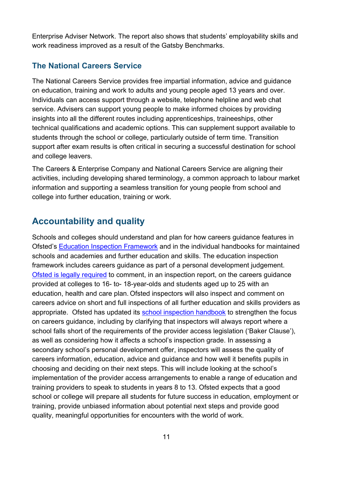Enterprise Adviser Network. The report also shows that students' employability skills and work readiness improved as a result of the Gatsby Benchmarks.

## **The National Careers Service**

The National Careers Service provides free impartial information, advice and guidance on education, training and work to adults and young people aged 13 years and over. Individuals can access support through a website, telephone helpline and web chat service. Advisers can support young people to make informed choices by providing insights into all the different routes including apprenticeships, traineeships, other technical qualifications and academic options. This can supplement support available to students through the school or college, particularly outside of term time. Transition support after exam results is often critical in securing a successful destination for school and college leavers.

The Careers & Enterprise Company and National Careers Service are aligning their activities, including developing shared terminology, a common approach to labour market information and supporting a seamless transition for young people from school and college into further education, training or work.

## <span id="page-10-0"></span>**Accountability and quality**

Schools and colleges should understand and plan for how careers guidance features in Ofsted's [Education Inspection Framework](https://www.gov.uk/government/publications/education-inspection-framework) and in the individual handbooks for maintained schools and academies and further education and skills. The education inspection framework includes careers guidance as part of a personal development judgement. [Ofsted is legally required](https://www.legislation.gov.uk/ukpga/2006/40/section/125) to comment, in an inspection report, on the careers guidance provided at colleges to 16- to- 18-year-olds and students aged up to 25 with an education, health and care plan. Ofsted inspectors will also inspect and comment on careers advice on short and full inspections of all further education and skills providers as appropriate. Ofsted has updated its [school inspection handbook](https://www.gov.uk/government/publications/school-inspection-handbook-eif) to strengthen the focus on careers guidance, including by clarifying that inspectors will always report where a school falls short of the requirements of the provider access legislation ('Baker Clause'), as well as considering how it affects a school's inspection grade. In assessing a secondary school's personal development offer, inspectors will assess the quality of careers information, education, advice and guidance and how well it benefits pupils in choosing and deciding on their next steps. This will include looking at the school's implementation of the provider access arrangements to enable a range of education and training providers to speak to students in years 8 to 13. Ofsted expects that a good school or college will prepare all students for future success in education, employment or training, provide unbiased information about potential next steps and provide good quality, meaningful opportunities for encounters with the world of work.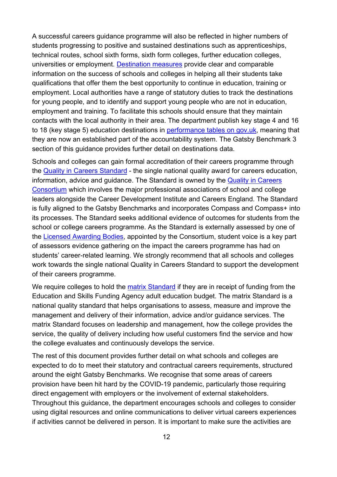A successful careers guidance programme will also be reflected in higher numbers of students progressing to positive and sustained destinations such as apprenticeships, technical routes, school sixth forms, sixth form colleges, further education colleges, universities or employment. [Destination measures](https://explore-education-statistics.service.gov.uk/find-statistics) provide clear and comparable information on the success of schools and colleges in helping all their students take qualifications that offer them the best opportunity to continue in education, training or employment. Local authorities have a range of statutory duties to track the destinations for young people, and to identify and support young people who are not in education, employment and training. To facilitate this schools should ensure that they maintain contacts with the local authority in their area. The department publish key stage 4 and 16 to 18 (key stage 5) education destinations in [performance tables on gov.uk,](https://www.gov.uk/school-performance-tables) meaning that they are now an established part of the accountability system. The Gatsby Benchmark 3 section of this guidance provides further detail on destinations data.

Schools and colleges can gain formal accreditation of their careers programme through the [Quality in Careers Standard](http://www.qualityincareers.org.uk/) - the single national quality award for careers education, information, advice and guidance. The Standard is owned by the Quality in Careers [Consortium](http://www.qualityincareers.org.uk/wp-content/uploads/2019/08/jun19-the-constitution-of-the-consortium-revised.pdf) which involves the major professional associations of school and college leaders alongside the Career Development Institute and Careers England. The Standard is fully aligned to the Gatsby Benchmarks and incorporates Compass and Compass+ into its processes. The Standard seeks additional evidence of outcomes for students from the school or college careers programme. As the Standard is externally assessed by one of the [Licensed Awarding Bodies,](https://www.qualityincareers.org.uk/2019/09/01/licensed-awarding-bodies/) appointed by the Consortium, student voice is a key part of assessors evidence gathering on the impact the careers programme has had on students' career-related learning. We strongly recommend that all schools and colleges work towards the single national Quality in Careers Standard to support the development of their careers programme.

We require colleges to hold the [matrix Standard](https://matrixstandard.com/) if they are in receipt of funding from the Education and Skills Funding Agency adult education budget. The matrix Standard is a national quality standard that helps organisations to assess, measure and improve the management and delivery of their information, advice and/or guidance services. The matrix Standard focuses on leadership and management, how the college provides the service, the quality of delivery including how useful customers find the service and how the college evaluates and continuously develops the service.

The rest of this document provides further detail on what schools and colleges are expected to do to meet their statutory and contractual careers requirements, structured around the eight Gatsby Benchmarks. We recognise that some areas of careers provision have been hit hard by the COVID-19 pandemic, particularly those requiring direct engagement with employers or the involvement of external stakeholders. Throughout this guidance, the department encourages schools and colleges to consider using digital resources and online communications to deliver virtual careers experiences if activities cannot be delivered in person. It is important to make sure the activities are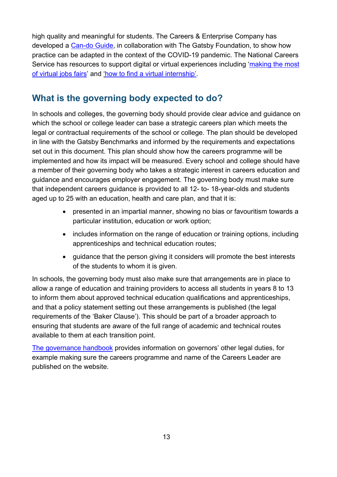high quality and meaningful for students. The Careers & Enterprise Company has developed a [Can-do Guide,](https://resources.careersandenterprise.co.uk/sites/default/files/2020-09/1400_%20Careers_In_Context_Guide_Final_24_09_20_0.pdf) in collaboration with The Gatsby Foundation, to show how practice can be adapted in the context of the COVID-19 pandemic. The National Careers Service has resources to support digital or virtual experiences including ['making the](https://nationalcareers.service.gov.uk/careers-advice/making-the-most-of-virtual-job-fairs/) most [of virtual jobs fairs'](https://nationalcareers.service.gov.uk/careers-advice/making-the-most-of-virtual-job-fairs/) and ['how to find a virtual internship'.](https://nationalcareers.service.gov.uk/careers-advice/how-to-find-a-virtual-internships/)

## <span id="page-12-0"></span>**What is the governing body expected to do?**

In schools and colleges, the governing body should provide clear advice and guidance on which the school or college leader can base a strategic careers plan which meets the legal or contractual requirements of the school or college. The plan should be developed in line with the Gatsby Benchmarks and informed by the requirements and expectations set out in this document. This plan should show how the careers programme will be implemented and how its impact will be measured. Every school and college should have a member of their governing body who takes a strategic interest in careers education and guidance and encourages employer engagement. The governing body must make sure that independent careers guidance is provided to all 12- to- 18-year-olds and students aged up to 25 with an education, health and care plan, and that it is:

- presented in an impartial manner, showing no bias or favouritism towards a particular institution, education or work option;
- includes information on the range of education or training options, including apprenticeships and technical education routes;
- guidance that the person giving it considers will promote the best interests of the students to whom it is given.

In schools, the governing body must also make sure that arrangements are in place to allow a range of education and training providers to access all students in years 8 to 13 to inform them about approved technical education qualifications and apprenticeships, and that a policy statement setting out these arrangements is published (the legal requirements of the 'Baker Clause'). This should be part of a broader approach to ensuring that students are aware of the full range of academic and technical routes available to them at each transition point.

[The governance handbook](https://www.gov.uk/government/publications/governance-handbook) provides information on governors' other legal duties, for example making sure the careers programme and name of the Careers Leader are published on the website.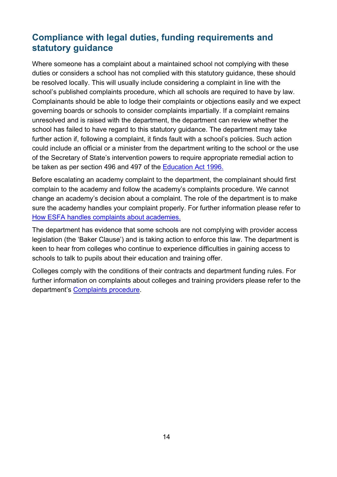## <span id="page-13-0"></span>**Compliance with legal duties, funding requirements and statutory guidance**

Where someone has a complaint about a maintained school not complying with these duties or considers a school has not complied with this statutory guidance, these should be resolved locally. This will usually include considering a complaint in line with the school's published complaints procedure, which all schools are required to have by law. Complainants should be able to lodge their complaints or objections easily and we expect governing boards or schools to consider complaints impartially. If a complaint remains unresolved and is raised with the department, the department can review whether the school has failed to have regard to this statutory guidance. The department may take further action if, following a complaint, it finds fault with a school's policies. Such action could include an official or a minister from the department writing to the school or the use of the Secretary of State's intervention powers to require appropriate remedial action to be taken as per section 496 and 497 of the **Education Act 1996.** 

Before escalating an academy complaint to the department, the complainant should first complain to the academy and follow the academy's complaints procedure. We cannot change an academy's decision about a complaint. The role of the department is to make sure the academy handles your complaint properly. For further information please refer to [How ESFA handles complaints about academies.](https://www.gov.uk/government/publications/complain-about-an-academy/complain-about-an-academy#esfas-remit-in-relation-to-academy-complaints)

The department has evidence that some schools are not complying with provider access legislation (the 'Baker Clause') and is taking action to enforce this law. The department is keen to hear from colleges who continue to experience difficulties in gaining access to schools to talk to pupils about their education and training offer.

Colleges comply with the conditions of their contracts and department funding rules. For further information on complaints about colleges and training providers please refer to the department's [Complaints procedure.](https://www.gov.uk/government/organisations/education-and-skills-funding-agency/about/complaints-procedure#complain-about-a-post-16-training-provider-college-or-employer-we-fund)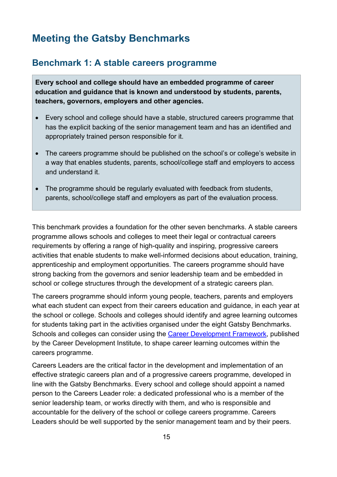# <span id="page-14-0"></span>**Meeting the Gatsby Benchmarks**

## <span id="page-14-1"></span>**Benchmark 1: A stable careers programme**

**Every school and college should have an embedded programme of career education and guidance that is known and understood by students, parents, teachers, governors, employers and other agencies.**

- Every school and college should have a stable, structured careers programme that has the explicit backing of the senior management team and has an identified and appropriately trained person responsible for it.
- The careers programme should be published on the school's or college's website in a way that enables students, parents, school/college staff and employers to access and understand it.
- The programme should be regularly evaluated with feedback from students, parents, school/college staff and employers as part of the evaluation process.

This benchmark provides a foundation for the other seven benchmarks. A stable careers programme allows schools and colleges to meet their legal or contractual careers requirements by offering a range of high-quality and inspiring, progressive careers activities that enable students to make well-informed decisions about education, training, apprenticeship and employment opportunities. The careers programme should have strong backing from the governors and senior leadership team and be embedded in school or college structures through the development of a strategic careers plan.

The careers programme should inform young people, teachers, parents and employers what each student can expect from their careers education and guidance, in each year at the school or college. Schools and colleges should identify and agree learning outcomes for students taking part in the activities organised under the eight Gatsby Benchmarks. Schools and colleges can consider using the [Career Development Framework,](https://www.thecdi.net/New-Career-Development-Framework) published by the Career Development Institute, to shape career learning outcomes within the careers programme.

Careers Leaders are the critical factor in the development and implementation of an effective strategic careers plan and of a progressive careers programme, developed in line with the Gatsby Benchmarks. Every school and college should appoint a named person to the Careers Leader role: a dedicated professional who is a member of the senior leadership team, or works directly with them, and who is responsible and accountable for the delivery of the school or college careers programme. Careers Leaders should be well supported by the senior management team and by their peers.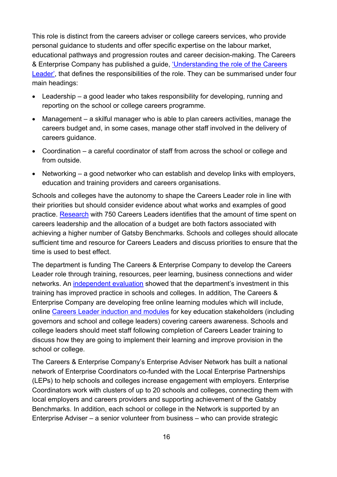This role is distinct from the careers adviser or college careers services, who provide personal guidance to students and offer specific expertise on the labour market, educational pathways and progression routes and career decision-making. The Careers & Enterprise Company has published a guide, ['Understanding the role of the Careers](https://www.careersandenterprise.co.uk/sites/default/files/uploaded/understanding-careers-leader-role-careers-enterprise.pdf)  [Leader',](https://www.careersandenterprise.co.uk/sites/default/files/uploaded/understanding-careers-leader-role-careers-enterprise.pdf) that defines the responsibilities of the role. They can be summarised under four main headings:

- Leadership a good leader who takes responsibility for developing, running and reporting on the school or college careers programme.
- Management a skilful manager who is able to plan careers activities, manage the careers budget and, in some cases, manage other staff involved in the delivery of careers guidance.
- Coordination a careful coordinator of staff from across the school or college and from outside.
- Networking a good networker who can establish and develop links with employers, education and training providers and careers organisations.

Schools and colleges have the autonomy to shape the Careers Leader role in line with their priorities but should consider evidence about what works and examples of good practice. [Research](https://www.careersandenterprise.co.uk/sites/default/files/uploaded/1233_careersleadersreport-_1_year_-_final_-_digital_0.pdf) with 750 Careers Leaders identifies that the amount of time spent on careers leadership and the allocation of a budget are both factors associated with achieving a higher number of Gatsby Benchmarks. Schools and colleges should allocate sufficient time and resource for Careers Leaders and discuss priorities to ensure that the time is used to best effect.

The department is funding The Careers & Enterprise Company to develop the Careers Leader role through training, resources, peer learning, business connections and wider networks. An [independent evaluation](https://www.employment-studies.co.uk/resource/evaluation-careers-leader-training) showed that the department's investment in this training has improved practice in schools and colleges. In addition, The Careers & Enterprise Company are developing free online learning modules which will include, online [Careers Leader induction and modules](https://www.careersandenterprise.co.uk/online-careers-leader-training-course) for key education stakeholders (including governors and school and college leaders) covering careers awareness. Schools and college leaders should meet staff following completion of Careers Leader training to discuss how they are going to implement their learning and improve provision in the school or college.

The Careers & Enterprise Company's Enterprise Adviser Network has built a national network of Enterprise Coordinators co-funded with the Local Enterprise Partnerships (LEPs) to help schools and colleges increase engagement with employers. Enterprise Coordinators work with clusters of up to 20 schools and colleges, connecting them with local employers and careers providers and supporting achievement of the Gatsby Benchmarks. In addition, each school or college in the Network is supported by an Enterprise Adviser – a senior volunteer from business – who can provide strategic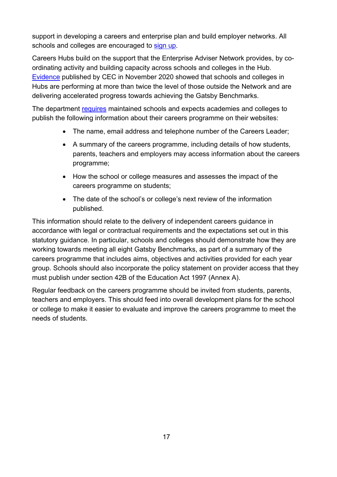support in developing a careers and enterprise plan and build employer networks. All schools and colleges are encouraged to [sign up.](https://www.careersandenterprise.co.uk/enterprise-adviser-network-register)

Careers Hubs build on the support that the Enterprise Adviser Network provides, by coordinating activity and building capacity across schools and colleges in the Hub. [Evidence](https://www.careersandenterprise.co.uk/our-research/careers-education-englands-schools-and-colleges-2020) published by CEC in November 2020 showed that schools and colleges in Hubs are performing at more than twice the level of those outside the Network and are delivering accelerated progress towards achieving the Gatsby Benchmarks.

The department [requires](https://www.gov.uk/guidance/what-maintained-schools-must-publish-online#careers-programme-information) maintained schools and expects academies and colleges to publish the following information about their careers programme on their websites:

- The name, email address and telephone number of the Careers Leader;
- A summary of the careers programme, including details of how students, parents, teachers and employers may access information about the careers programme;
- How the school or college measures and assesses the impact of the careers programme on students;
- The date of the school's or college's next review of the information published.

This information should relate to the delivery of independent careers guidance in accordance with legal or contractual requirements and the expectations set out in this statutory guidance. In particular, schools and colleges should demonstrate how they are working towards meeting all eight Gatsby Benchmarks, as part of a summary of the careers programme that includes aims, objectives and activities provided for each year group. Schools should also incorporate the policy statement on provider access that they must publish under section 42B of the Education Act 1997 (Annex A).

Regular feedback on the careers programme should be invited from students, parents, teachers and employers. This should feed into overall development plans for the school or college to make it easier to evaluate and improve the careers programme to meet the needs of students.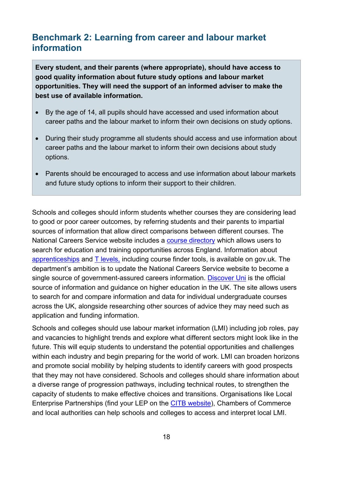## <span id="page-17-0"></span>**Benchmark 2: Learning from career and labour market information**

**Every student, and their parents (where appropriate), should have access to good quality information about future study options and labour market opportunities. They will need the support of an informed adviser to make the best use of available information.**

- By the age of 14, all pupils should have accessed and used information about career paths and the labour market to inform their own decisions on study options.
- During their study programme all students should access and use information about career paths and the labour market to inform their own decisions about study options.
- Parents should be encouraged to access and use information about labour markets and future study options to inform their support to their children.

Schools and colleges should inform students whether courses they are considering lead to good or poor career outcomes, by referring students and their parents to impartial sources of information that allow direct comparisons between different courses. The National Careers Service website includes a [course directory](https://nationalcareers.service.gov.uk/find-a-course) which allows users to search for education and training opportunities across England. Information about [apprenticeships](https://www.gov.uk/apply-apprenticeship) and [T levels,](https://www.gov.uk/government/publications/introduction-of-t-levels/introduction-of-t-levels) including course finder tools, is available on gov.uk. The department's ambition is to update the National Careers Service website to become a single source of government-assured careers information. [Discover Uni](http://www.discoveruni.gov.uk/) is the official source of information and guidance on higher education in the UK. The site allows users to search for and compare information and data for individual undergraduate courses across the UK, alongside researching other sources of advice they may need such as application and funding information.

Schools and colleges should use labour market information (LMI) including job roles, pay and vacancies to highlight trends and explore what different sectors might look like in the future. This will equip students to understand the potential opportunities and challenges within each industry and begin preparing for the world of work. LMI can broaden horizons and promote social mobility by helping students to identify careers with good prospects that they may not have considered. Schools and colleges should share information about a diverse range of progression pathways, including technical routes, to strengthen the capacity of students to make effective choices and transitions. Organisations like Local Enterprise Partnerships (find your LEP on the [CITB website\)](https://www.citb.co.uk/about-citb/what-we-do/citb-in-your-local-area/local-enterprise-partnerships/local-enterprise-partnerships-citb-manifestos/), Chambers of Commerce and local authorities can help schools and colleges to access and interpret local LMI.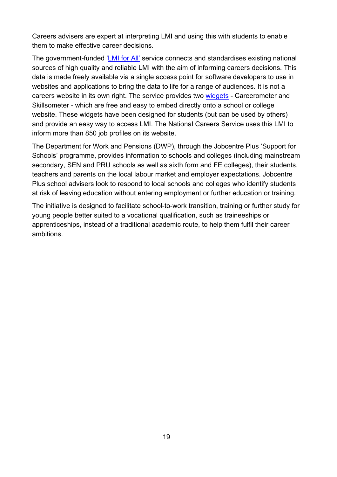Careers advisers are expert at interpreting LMI and using this with students to enable them to make effective career decisions.

The government-funded '*LMI for AII'* service connects and standardises existing national sources of high quality and reliable LMI with the aim of informing careers decisions. This data is made freely available via a single access point for software developers to use in websites and applications to bring the data to life for a range of audiences. It is not a careers website in its own right. The service provides two [widgets](https://www.lmiforall.org.uk/widget/) - Careerometer and Skillsometer - which are free and easy to embed directly onto a school or college website. These widgets have been designed for students (but can be used by others) and provide an easy way to access LMI. The National Careers Service uses this LMI to inform more than 850 job profiles on its website.

The Department for Work and Pensions (DWP), through the Jobcentre Plus 'Support for Schools' programme, provides information to schools and colleges (including mainstream secondary, SEN and PRU schools as well as sixth form and FE colleges), their students, teachers and parents on the local labour market and employer expectations. Jobcentre Plus school advisers look to respond to local schools and colleges who identify students at risk of leaving education without entering employment or further education or training.

The initiative is designed to facilitate school-to-work transition, training or further study for young people better suited to a vocational qualification, such as traineeships or apprenticeships, instead of a traditional academic route, to help them fulfil their career ambitions.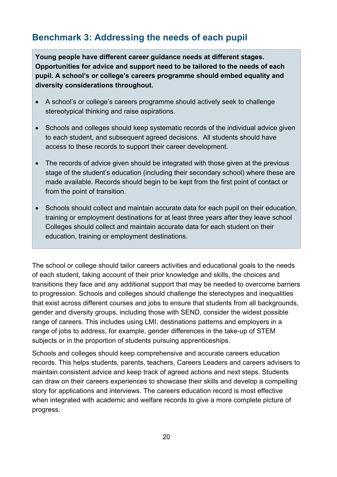# <span id="page-19-0"></span>**Benchmark 3: Addressing the needs of each pupil**

**Young people have different career guidance needs at different stages. Opportunities for advice and support need to be tailored to the needs of each pupil. A school's or college's careers programme should embed equality and diversity considerations throughout.**

- A school's or college's careers programme should actively seek to challenge stereotypical thinking and raise aspirations.
- Schools and colleges should keep systematic records of the individual advice given to each student, and subsequent agreed decisions. All students should have access to these records to support their career development.
- The records of advice given should be integrated with those given at the previous stage of the student's education (including their secondary school) where these are made available. Records should begin to be kept from the first point of contact or from the point of transition.
- Schools should collect and maintain accurate data for each pupil on their education, training or employment destinations for at least three years after they leave school Colleges should collect and maintain accurate data for each student on their education, training or employment destinations.

The school or college should tailor careers activities and educational goals to the needs of each student, taking account of their prior knowledge and skills, the choices and transitions they face and any additional support that may be needed to overcome barriers to progression. Schools and colleges should challenge the stereotypes and inequalities that exist across different courses and jobs to ensure that students from all backgrounds, gender and diversity groups, including those with SEND, consider the widest possible range of careers. This includes using LMI, destinations patterns and employers in a range of jobs to address, for example, gender differences in the take-up of STEM subjects or in the proportion of students pursuing apprenticeships.

Schools and colleges should keep comprehensive and accurate careers education records. This helps students, parents, teachers, Careers Leaders and careers advisers to maintain consistent advice and keep track of agreed actions and next steps. Students can draw on their careers experiences to showcase their skills and develop a compelling story for applications and interviews. The careers education record is most effective when integrated with academic and welfare records to give a more complete picture of progress.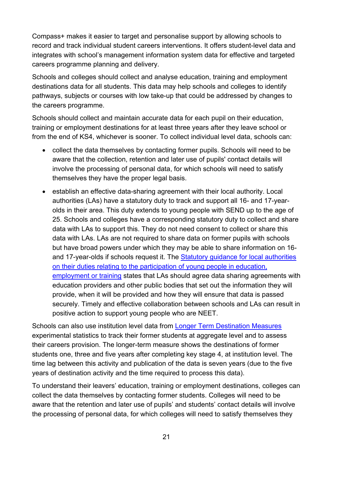Compass+ makes it easier to target and personalise support by allowing schools to record and track individual student careers interventions. It offers student-level data and integrates with school's management information system data for effective and targeted careers programme planning and delivery.

Schools and colleges should collect and analyse education, training and employment destinations data for all students. This data may help schools and colleges to identify pathways, subjects or courses with low take-up that could be addressed by changes to the careers programme.

Schools should collect and maintain accurate data for each pupil on their education, training or employment destinations for at least three years after they leave school or from the end of KS4, whichever is sooner. To collect individual level data, schools can:

- collect the data themselves by contacting former pupils. Schools will need to be aware that the collection, retention and later use of pupils' contact details will involve the processing of personal data, for which schools will need to satisfy themselves they have the proper legal basis.
- establish an effective data-sharing agreement with their local authority. Local authorities (LAs) have a statutory duty to track and support all 16- and 17-yearolds in their area. This duty extends to young people with SEND up to the age of 25. Schools and colleges have a corresponding statutory duty to collect and share data with LAs to support this. They do not need consent to collect or share this data with LAs. LAs are not required to share data on former pupils with schools but have broad powers under which they may be able to share information on 16 and 17-year-olds if schools request it. The Statutory guidance for local authorities [on their duties relating to the participation of young people in education,](https://www.gov.uk/government/publications/participation-of-young-people-education-employment-and-training)  [employment or training](https://www.gov.uk/government/publications/participation-of-young-people-education-employment-and-training) states that LAs should agree data sharing agreements with education providers and other public bodies that set out the information they will provide, when it will be provided and how they will ensure that data is passed securely. Timely and effective collaboration between schools and LAs can result in positive action to support young people who are NEET.

Schools can also use institution level data from [Longer Term Destination Measures](https://explore-education-statistics.service.gov.uk/find-statistics/longer-term-destinations) experimental statistics to track their former students at aggregate level and to assess their careers provision. The longer-term measure shows the destinations of former students one, three and five years after completing key stage 4, at institution level. The time lag between this activity and publication of the data is seven years (due to the five years of destination activity and the time required to process this data).

To understand their leavers' education, training or employment destinations, colleges can collect the data themselves by contacting former students. Colleges will need to be aware that the retention and later use of pupils' and students' contact details will involve the processing of personal data, for which colleges will need to satisfy themselves they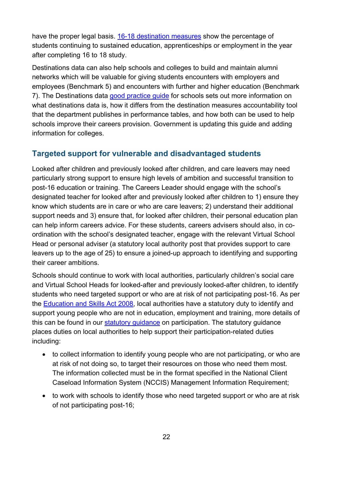have the proper legal basis. [16-18 destination measures](https://explore-education-statistics.service.gov.uk/find-statistics/16-18-destination-measures) show the percentage of students continuing to sustained education, apprenticeships or employment in the year after completing 16 to 18 study.

Destinations data can also help schools and colleges to build and maintain alumni networks which will be valuable for giving students encounters with employers and employees (Benchmark 5) and encounters with further and higher education (Benchmark 7). The Destinations data [good practice guide](https://www.gov.uk/government/publications/how-to-use-destinations-data) for schools sets out more information on what destinations data is, how it differs from the destination measures accountability tool that the department publishes in performance tables, and how both can be used to help schools improve their careers provision. Government is updating this guide and adding information for colleges.

## **Targeted support for vulnerable and disadvantaged students**

Looked after children and previously looked after children, and care leavers may need particularly strong support to ensure high levels of ambition and successful transition to post-16 education or training. The Careers Leader should engage with the school's designated teacher for looked after and previously looked after children to 1) ensure they know which students are in care or who are care leavers; 2) understand their additional support needs and 3) ensure that, for looked after children, their personal education plan can help inform careers advice. For these students, careers advisers should also, in coordination with the school's designated teacher, engage with the relevant Virtual School Head or personal adviser (a statutory local authority post that provides support to care leavers up to the age of 25) to ensure a joined-up approach to identifying and supporting their career ambitions.

Schools should continue to work with local authorities, particularly children's social care and Virtual School Heads for looked-after and previously looked-after children, to identify students who need targeted support or who are at risk of not participating post-16. As per the [Education and Skills Act 2008,](https://www.legislation.gov.uk/ukpga/2008/25/part/1) local authorities have a statutory duty to identify and support young people who are not in education, employment and training, more details of this can be found in our [statutory guidance](https://www.gov.uk/government/publications/participation-of-young-people-education-employment-and-training) on participation. The statutory guidance places duties on local authorities to help support their participation-related duties including:

- to collect information to identify young people who are not participating, or who are at risk of not doing so, to target their resources on those who need them most. The information collected must be in the format specified in the National Client Caseload Information System (NCCIS) Management Information Requirement;
- to work with schools to identify those who need targeted support or who are at risk of not participating post-16;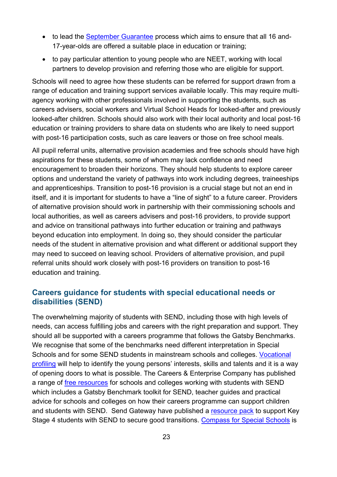- to lead the [September Guarantee](https://www.gov.uk/government/publications/september-guarantee-offers-of-education-or-training-for-16-to-17-year-olds) process which aims to ensure that all 16 and-17-year-olds are offered a suitable place in education or training;
- to pay particular attention to young people who are NEET, working with local partners to develop provision and referring those who are eligible for support.

Schools will need to agree how these students can be referred for support drawn from a range of education and training support services available locally. This may require multiagency working with other professionals involved in supporting the students, such as careers advisers, social workers and Virtual School Heads for looked-after and previously looked-after children. Schools should also work with their local authority and local post-16 education or training providers to share data on students who are likely to need support with post-16 participation costs, such as care leavers or those on free school meals.

All pupil referral units, alternative provision academies and free schools should have high aspirations for these students, some of whom may lack confidence and need encouragement to broaden their horizons. They should help students to explore career options and understand the variety of pathways into work including degrees, traineeships and apprenticeships. Transition to post-16 provision is a crucial stage but not an end in itself, and it is important for students to have a "line of sight" to a future career. Providers of alternative provision should work in partnership with their commissioning schools and local authorities, as well as careers advisers and post-16 providers, to provide support and advice on transitional pathways into further education or training and pathways beyond education into employment. In doing so, they should consider the particular needs of the student in alternative provision and what different or additional support they may need to succeed on leaving school. Providers of alternative provision, and pupil referral units should work closely with post-16 providers on transition to post-16 education and training.

### **Careers guidance for students with special educational needs or disabilities (SEND)**

The overwhelming majority of students with SEND, including those with high levels of needs, can access fulfilling jobs and careers with the right preparation and support. They should all be supported with a careers programme that follows the Gatsby Benchmarks. We recognise that some of the benchmarks need different interpretation in Special Schools and for some SEND students in mainstream schools and colleges. [Vocational](https://www.preparingforadulthood.org.uk/downloads/person-centred-planning/vocational-profile.htm)  [profiling](https://www.preparingforadulthood.org.uk/downloads/person-centred-planning/vocational-profile.htm) will help to identify the young persons' interests, skills and talents and it is a way of opening doors to what is possible. The Careers & Enterprise Company has published a range of [free resources](https://resources.careersandenterprise.co.uk/all-resources-all-one-place?op=%EF%80%82&q=SEND) for schools and colleges working with students with SEND which includes a Gatsby Benchmark toolkit for SEND, teacher guides and practical advice for schools and colleges on how their careers programme can support children and students with SEND. Send Gateway have published a [resource pack](https://www.sendgateway.org.uk/resources/securing-good-transitions-resource-pack-support-next-steps-key-stage-4-pupils-send) to support Key Stage 4 students with SEND to secure good transitions. [Compass for Special Schools](https://resources.careersandenterprise.co.uk/sites/default/files/2020-12/1375_Compass%20overview%20for%20special%20schools%20flyer_Digital_converted.pdf#:%7E:text=Compass%20for%20special%20schools%20and%20specialist%20colleges%20The,focused%20on%20the%20application%20of%20the%20Gatsby%20Benchmarks) is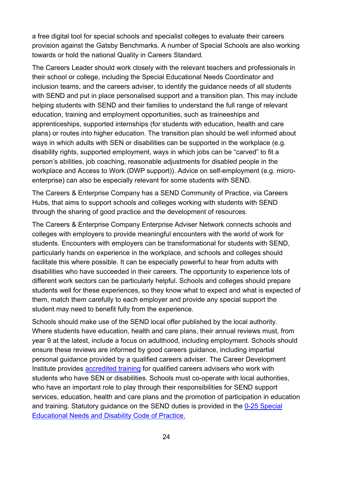a free digital tool for special schools and specialist colleges to evaluate their careers provision against the Gatsby Benchmarks. A number of Special Schools are also working towards or hold the national Quality in Careers Standard.

The Careers Leader should work closely with the relevant teachers and professionals in their school or college, including the Special Educational Needs Coordinator and inclusion teams, and the careers adviser, to identify the guidance needs of all students with SEND and put in place personalised support and a transition plan. This may include helping students with SEND and their families to understand the full range of relevant education, training and employment opportunities, such as traineeships and apprenticeships, supported internships (for students with education, health and care plans) or routes into higher education. The transition plan should be well informed about ways in which adults with SEN or disabilities can be supported in the workplace (e.g. disability rights, supported employment, ways in which jobs can be "carved" to fit a person's abilities, job coaching, reasonable adjustments for disabled people in the workplace and Access to Work (DWP support)). Advice on self-employment (e.g. microenterprise) can also be especially relevant for some students with SEND.

The Careers & Enterprise Company has a SEND Community of Practice, via Careers Hubs, that aims to support schools and colleges working with students with SEND through the sharing of good practice and the development of resources.

The Careers & Enterprise Company Enterprise Adviser Network connects schools and colleges with employers to provide meaningful encounters with the world of work for students. Encounters with employers can be transformational for students with SEND, particularly hands on experience in the workplace, and schools and colleges should facilitate this where possible. It can be especially powerful to hear from adults with disabilities who have succeeded in their careers. The opportunity to experience lots of different work sectors can be particularly helpful. Schools and colleges should prepare students well for these experiences, so they know what to expect and what is expected of them, match them carefully to each employer and provide any special support the student may need to benefit fully from the experience.

Schools should make use of the SEND local offer published by the local authority. Where students have education, health and care plans, their annual reviews must, from year 9 at the latest, include a focus on adulthood, including employment. Schools should ensure these reviews are informed by good careers guidance, including impartial personal guidance provided by a qualified careers adviser. The Career Development Institute provides **accredited training for qualified careers advisers who work with** students who have SEN or disabilities. Schools must co-operate with local authorities, who have an important role to play through their responsibilities for SEND support services, education, health and care plans and the promotion of participation in education and training. Statutory guidance on the SEND duties is provided in the [0-25 Special](https://www.gov.uk/government/publications/send-code-of-practice-0-to-25)  [Educational Needs and Disability Code of Practice.](https://www.gov.uk/government/publications/send-code-of-practice-0-to-25)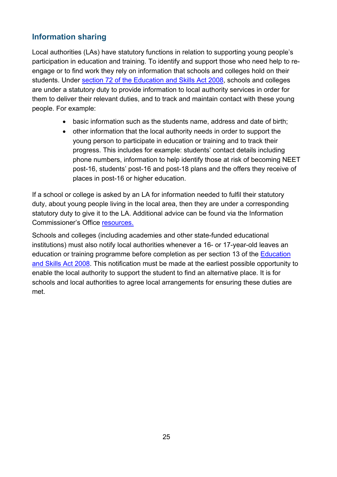## **Information sharing**

Local authorities (LAs) have statutory functions in relation to supporting young people's participation in education and training. To identify and support those who need help to reengage or to find work they rely on information that schools and colleges hold on their students. Under [section 72 of the Education and Skills Act 2008,](https://www.legislation.gov.uk/ukpga/2008/25/section/72) schools and colleges are under a statutory duty to provide information to local authority services in order for them to deliver their relevant duties, and to track and maintain contact with these young people. For example:

- basic information such as the students name, address and date of birth;
- other information that the local authority needs in order to support the young person to participate in education or training and to track their progress. This includes for example: students' contact details including phone numbers, information to help identify those at risk of becoming NEET post-16, students' post-16 and post-18 plans and the offers they receive of places in post-16 or higher education.

If a school or college is asked by an LA for information needed to fulfil their statutory duty, about young people living in the local area, then they are under a corresponding statutory duty to give it to the LA. Additional advice can be found via the Information Commissioner's Office [resources.](https://ico.org.uk/for-organisations/guide-to-data-protection/guide-to-the-general-data-protection-regulation-gdpr/lawful-basis-for-processing/legal-obligation/)

Schools and colleges (including academies and other state-funded educational institutions) must also notify local authorities whenever a 16- or 17-year-old leaves an education or training programme before completion as per section 13 of the [Education](https://www.legislation.gov.uk/ukpga/2008/25/section/13)  [and Skills Act 2008.](https://www.legislation.gov.uk/ukpga/2008/25/section/13) This notification must be made at the earliest possible opportunity to enable the local authority to support the student to find an alternative place. It is for schools and local authorities to agree local arrangements for ensuring these duties are met.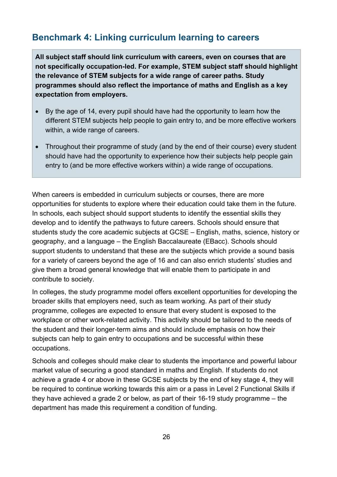# <span id="page-25-0"></span>**Benchmark 4: Linking curriculum learning to careers**

**All subject staff should link curriculum with careers, even on courses that are not specifically occupation-led. For example, STEM subject staff should highlight the relevance of STEM subjects for a wide range of career paths. Study programmes should also reflect the importance of maths and English as a key expectation from employers.**

- By the age of 14, every pupil should have had the opportunity to learn how the different STEM subjects help people to gain entry to, and be more effective workers within, a wide range of careers.
- Throughout their programme of study (and by the end of their course) every student should have had the opportunity to experience how their subjects help people gain entry to (and be more effective workers within) a wide range of occupations.

When careers is embedded in curriculum subjects or courses, there are more opportunities for students to explore where their education could take them in the future. In schools, each subject should support students to identify the essential skills they develop and to identify the pathways to future careers. Schools should ensure that students study the core academic subjects at GCSE – English, maths, science, history or geography, and a language – the English Baccalaureate (EBacc). Schools should support students to understand that these are the subjects which provide a sound basis for a variety of careers beyond the age of 16 and can also enrich students' studies and give them a broad general knowledge that will enable them to participate in and contribute to society.

In colleges, the study programme model offers excellent opportunities for developing the broader skills that employers need, such as team working. As part of their study programme, colleges are expected to ensure that every student is exposed to the workplace or other work-related activity. This activity should be tailored to the needs of the student and their longer-term aims and should include emphasis on how their subjects can help to gain entry to occupations and be successful within these occupations.

Schools and colleges should make clear to students the importance and powerful labour market value of securing a good standard in maths and English. If students do not achieve a grade 4 or above in these GCSE subjects by the end of key stage 4, they will be required to continue working towards this aim or a pass in Level 2 Functional Skills if they have achieved a grade 2 or below, as part of their 16-19 study programme – the department has made this requirement a condition of funding.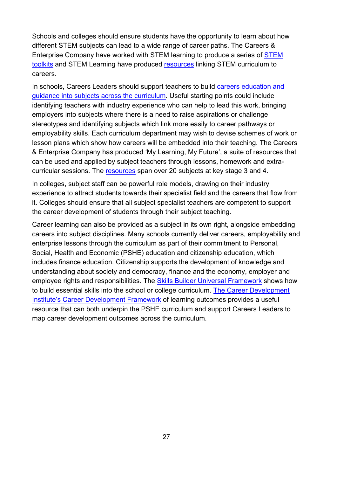Schools and colleges should ensure students have the opportunity to learn about how different STEM subjects can lead to a wide range of career paths. The Careers & Enterprise Company have worked with STEM learning to produce a series of [STEM](https://resources.careersandenterprise.co.uk/resources/stem-careers-toolkit)  [toolkits](https://resources.careersandenterprise.co.uk/resources/stem-careers-toolkit) and STEM Learning have produced [resources](https://www.stem.org.uk/cpd/ondemand/443955/linking-stem-curriculum-learning-careers) linking STEM curriculum to careers.

In schools, Careers Leaders should support teachers to build careers education and [guidance into subjects across the curriculum.](https://www.careersandenterprise.co.uk/sites/default/files/uploaded/careers_in_the_curriculum_report_what_works.pdf) Useful starting points could include identifying teachers with industry experience who can help to lead this work, bringing employers into subjects where there is a need to raise aspirations or challenge stereotypes and identifying subjects which link more easily to career pathways or employability skills. Each curriculum department may wish to devise schemes of work or lesson plans which show how careers will be embedded into their teaching. The Careers & Enterprise Company has produced 'My Learning, My Future', a suite of resources that can be used and applied by subject teachers through lessons, homework and extracurricular sessions. The [resources](https://resources.careersandenterprise.co.uk/my-learning-my-future) span over 20 subjects at key stage 3 and 4.

In colleges, subject staff can be powerful role models, drawing on their industry experience to attract students towards their specialist field and the careers that flow from it. Colleges should ensure that all subject specialist teachers are competent to support the career development of students through their subject teaching.

Career learning can also be provided as a subject in its own right, alongside embedding careers into subject disciplines. Many schools currently deliver careers, employability and enterprise lessons through the curriculum as part of their commitment to Personal, Social, Health and Economic (PSHE) education and citizenship education, which includes finance education. Citizenship supports the development of knowledge and understanding about society and democracy, finance and the economy, employer and employee rights and responsibilities. The [Skills Builder Universal Framework](https://www.skillsbuilder.org/) shows how to build essential skills into the school or college curriculum. [The Career Development](https://www.thecdi.net/New-Career-Development-Framework)  **[Institute's Career Development Framework](https://www.thecdi.net/New-Career-Development-Framework) of learning outcomes provides a useful** resource that can both underpin the PSHE curriculum and support Careers Leaders to map career development outcomes across the curriculum.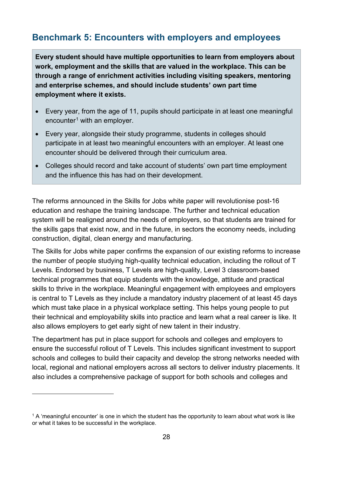# <span id="page-27-0"></span>**Benchmark 5: Encounters with employers and employees**

**Every student should have multiple opportunities to learn from employers about work, employment and the skills that are valued in the workplace. This can be through a range of enrichment activities including visiting speakers, mentoring and enterprise schemes, and should include students' own part time employment where it exists.**

- Every year, from the age of 11, pupils should participate in at least one meaningful encounter<sup>[1](#page-27-1)</sup> with an employer.
- Every year, alongside their study programme, students in colleges should participate in at least two meaningful encounters with an employer. At least one encounter should be delivered through their curriculum area.
- Colleges should record and take account of students' own part time employment and the influence this has had on their development.

The reforms announced in the Skills for Jobs white paper will revolutionise post-16 education and reshape the training landscape. The further and technical education system will be realigned around the needs of employers, so that students are trained for the skills gaps that exist now, and in the future, in sectors the economy needs, including construction, digital, clean energy and manufacturing.

The Skills for Jobs white paper confirms the expansion of our existing reforms to increase the number of people studying high-quality technical education, including the rollout of T Levels. Endorsed by business, T Levels are high-quality, Level 3 classroom-based technical programmes that equip students with the knowledge, attitude and practical skills to thrive in the workplace. Meaningful engagement with employees and employers is central to T Levels as they include a mandatory industry placement of at least 45 days which must take place in a physical workplace setting. This helps young people to put their technical and employability skills into practice and learn what a real career is like. It also allows employers to get early sight of new talent in their industry.

The department has put in place support for schools and colleges and employers to ensure the successful rollout of T Levels. This includes significant investment to support schools and colleges to build their capacity and develop the strong networks needed with local, regional and national employers across all sectors to deliver industry placements. It also includes a comprehensive package of support for both schools and colleges and

<span id="page-27-1"></span> $1$  A 'meaningful encounter' is one in which the student has the opportunity to learn about what work is like or what it takes to be successful in the workplace.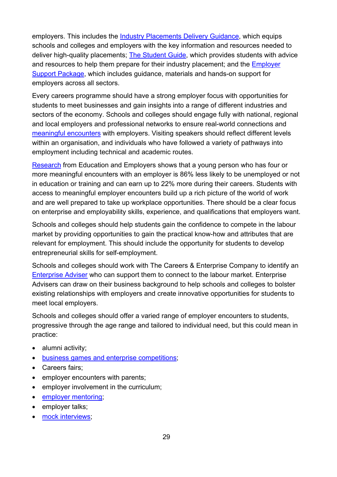employers. This includes the [Industry Placements Delivery Guidance,](https://www.gov.uk/government/publications/t-level-industry-placements-delivery-guidance) which equips schools and colleges and employers with the key information and resources needed to deliver high-quality placements; [The Student Guide,](https://www.gov.uk/government/publications/student-guide-preparing-for-industry-placements) which provides students with advice and resources to help them prepare for their industry placement; and the [Employer](https://employerindustryplacements.co.uk/)  [Support Package,](https://employerindustryplacements.co.uk/) which includes guidance, materials and hands-on support for employers across all sectors.

Every careers programme should have a strong employer focus with opportunities for students to meet businesses and gain insights into a range of different industries and sectors of the economy. Schools and colleges should engage fully with national, regional and local employers and professional networks to ensure real-world connections and [meaningful encounters](https://resources.careersandenterprise.co.uk/resources/making-it-meaningful) with employers. Visiting speakers should reflect different levels within an organisation, and individuals who have followed a variety of pathways into employment including technical and academic routes.

[Research](https://www.educationandemployers.org/wp-content/uploads/2017/01/Contemporary-Transitions-30-1-2017.pdf) from Education and Employers shows that a young person who has four or more meaningful encounters with an employer is 86% less likely to be unemployed or not in education or training and can earn up to 22% more during their careers. Students with access to meaningful employer encounters build up a rich picture of the world of work and are well prepared to take up workplace opportunities. There should be a clear focus on enterprise and employability skills, experience, and qualifications that employers want.

Schools and colleges should help students gain the confidence to compete in the labour market by providing opportunities to gain the practical know-how and attributes that are relevant for employment. This should include the opportunity for students to develop entrepreneurial skills for self-employment.

Schools and colleges should work with The Careers & Enterprise Company to identify an [Enterprise Adviser](https://www.careersandenterprise.co.uk/about-us/our-network) who can support them to connect to the labour market. Enterprise Advisers can draw on their business background to help schools and colleges to bolster existing relationships with employers and create innovative opportunities for students to meet local employers.

Schools and colleges should offer a varied range of employer encounters to students, progressive through the age range and tailored to individual need, but this could mean in practice:

- alumni activity:
- [business games and enterprise competitions;](https://www.careersandenterprise.co.uk/our-research/business-games-and-enterprise-competitions-what-works)
- Careers fairs;
- employer encounters with parents;
- employer involvement in the curriculum;
- employer mentoring:
- employer talks:
- [mock interviews;](https://www.careersandenterprise.co.uk/our-research/transition-skills-mock-interviews-and-cv-workshops-what-works)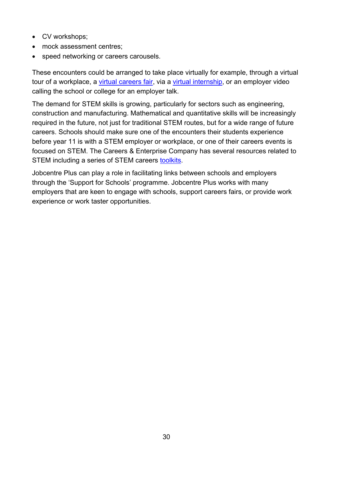- CV workshops;
- mock assessment centres;
- speed networking or careers carousels.

These encounters could be arranged to take place virtually for example, through a virtual tour of a workplace, a [virtual careers fair,](https://nationalcareers.service.gov.uk/careers-advice/making-the-most-of-virtual-job-fairs/) via a [virtual internship,](https://nationalcareers.service.gov.uk/careers-advice/how-to-find-a-virtual-internships/) or an employer video calling the school or college for an employer talk.

The demand for STEM skills is growing, particularly for sectors such as engineering, construction and manufacturing. Mathematical and quantitative skills will be increasingly required in the future, not just for traditional STEM routes, but for a wide range of future careers. Schools should make sure one of the encounters their students experience before year 11 is with a STEM employer or workplace, or one of their careers events is focused on STEM. The Careers & Enterprise Company has several resources related to STEM including a series of STEM careers [toolkits.](https://resources.careersandenterprise.co.uk/resources/stem-careers-toolkit)

Jobcentre Plus can play a role in facilitating links between schools and employers through the 'Support for Schools' programme. Jobcentre Plus works with many employers that are keen to engage with schools, support careers fairs, or provide work experience or work taster opportunities.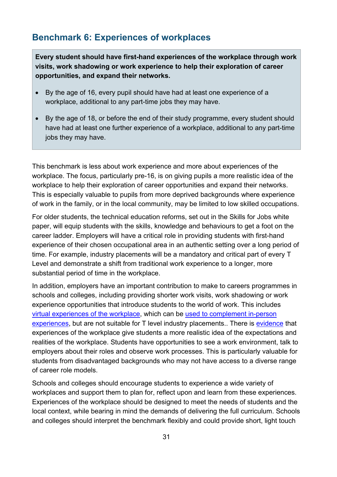# <span id="page-30-0"></span>**Benchmark 6: Experiences of workplaces**

**Every student should have first-hand experiences of the workplace through work visits, work shadowing or work experience to help their exploration of career opportunities, and expand their networks.**

- By the age of 16, every pupil should have had at least one experience of a workplace, additional to any part-time jobs they may have.
- By the age of 18, or before the end of their study programme, every student should have had at least one further experience of a workplace, additional to any part-time jobs they may have.

This benchmark is less about work experience and more about experiences of the workplace. The focus, particularly pre-16, is on giving pupils a more realistic idea of the workplace to help their exploration of career opportunities and expand their networks. This is especially valuable to pupils from more deprived backgrounds where experience of work in the family, or in the local community, may be limited to low skilled occupations.

For older students, the technical education reforms, set out in the Skills for Jobs white paper, will equip students with the skills, knowledge and behaviours to get a foot on the career ladder. Employers will have a critical role in providing students with first-hand experience of their chosen occupational area in an authentic setting over a long period of time. For example, industry placements will be a mandatory and critical part of every T Level and demonstrate a shift from traditional work experience to a longer, more substantial period of time in the workplace.

In addition, employers have an important contribution to make to careers programmes in schools and colleges, including providing shorter work visits, work shadowing or work experience opportunities that introduce students to the world of work. This includes [virtual experiences of the workplace,](https://resources.careersandenterprise.co.uk/resources/blueprint-virtual-experience-workplace) which can be [used to complement in-person](https://www.careersandenterprise.co.uk/sites/default/files/1361_online_engagement_guidance_option_2_v6_.pdf)  [experiences,](https://www.careersandenterprise.co.uk/sites/default/files/1361_online_engagement_guidance_option_2_v6_.pdf) but are not suitable for T level industry placements.. There is [evidence](https://www.careersandenterprise.co.uk/our-research/work-experience-job-shadowing-and-workplace-visits-what-works) that experiences of the workplace give students a more realistic idea of the expectations and realities of the workplace. Students have opportunities to see a work environment, talk to employers about their roles and observe work processes. This is particularly valuable for students from disadvantaged backgrounds who may not have access to a diverse range of career role models.

Schools and colleges should encourage students to experience a wide variety of workplaces and support them to plan for, reflect upon and learn from these experiences. Experiences of the workplace should be designed to meet the needs of students and the local context, while bearing in mind the demands of delivering the full curriculum. Schools and colleges should interpret the benchmark flexibly and could provide short, light touch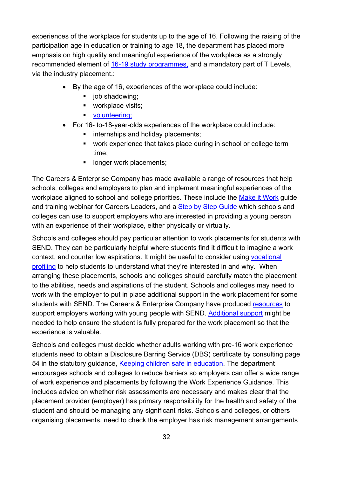experiences of the workplace for students up to the age of 16. Following the raising of the participation age in education or training to age 18, the department has placed more emphasis on high quality and meaningful experience of the workplace as a strongly recommended element of [16-19 study programmes,](https://www.gov.uk/government/publications/16-to-19-study-programmes-guide-for-providers) and a mandatory part of T Levels, via the industry placement.:

- By the age of 16, experiences of the workplace could include:
	- iob shadowing:
	- workplace visits:
	- volunteering:
- For 16- to-18-year-olds experiences of the workplace could include:
	- **internships and holiday placements;**
	- work experience that takes place during in school or college term time;
	- **If** longer work placements;

The Careers & Enterprise Company has made available a range of resources that help schools, colleges and employers to plan and implement meaningful experiences of the workplace aligned to school and college priorities. These include the [Make it Work](https://resources.careersandenterprise.co.uk/resources/bm6-how-meet-gatsby-benchmark-6-more-meaningfully-and-deliver-positive-student-outcomes) guide and training webinar for Careers Leaders, and a [Step by Step Guide](https://wex.careersandenterprise.co.uk/) which schools and colleges can use to support employers who are interested in providing a young person with an experience of their workplace, either physically or virtually.

Schools and colleges should pay particular attention to work placements for students with SEND. They can be particularly helpful where students find it difficult to imagine a work context, and counter low aspirations. It might be useful to consider using [vocational](https://www.preparingforadulthood.org.uk/downloads/person-centred-planning/vocational-profile.htm)  [profiling](https://www.preparingforadulthood.org.uk/downloads/person-centred-planning/vocational-profile.htm) to help students to understand what they're interested in and why. When arranging these placements, schools and colleges should carefully match the placement to the abilities, needs and aspirations of the student. Schools and colleges may need to work with the employer to put in place additional support in the work placement for some students with SEND. The Careers & Enterprise Company have produced [resources](https://resources.careersandenterprise.co.uk/resources/resource-1-careers-landscape) to support employers working with young people with SEND. [Additional support](https://www.careersandenterprise.co.uk/our-research/transition-programmes-young-adults-send-what-works) might be needed to help ensure the student is fully prepared for the work placement so that the experience is valuable.

Schools and colleges must decide whether adults working with pre-16 work experience students need to obtain a Disclosure Barring Service (DBS) certificate by consulting page 54 in the statutory guidance, [Keeping children safe in education.](https://assets.publishing.service.gov.uk/government/uploads/system/uploads/attachment_data/file/954314/Keeping_children_safe_in_education_2020_-_Update_-_January_2021.pdf) The department encourages schools and colleges to reduce barriers so employers can offer a wide range of work experience and placements by following the Work Experience Guidance. This includes advice on whether risk assessments are necessary and makes clear that the placement provider (employer) has primary responsibility for the health and safety of the student and should be managing any significant risks. Schools and colleges, or others organising placements, need to check the employer has risk management arrangements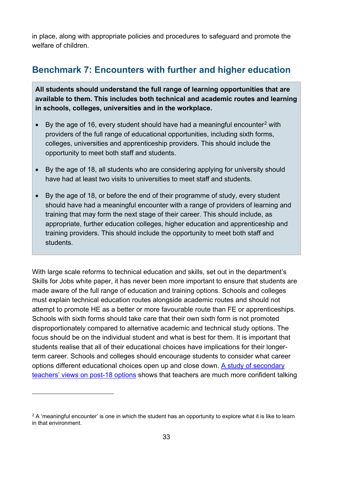in place, along with appropriate policies and procedures to safeguard and promote the welfare of children.

# <span id="page-32-0"></span>**Benchmark 7: Encounters with further and higher education**

**All students should understand the full range of learning opportunities that are available to them. This includes both technical and academic routes and learning in schools, colleges, universities and in the workplace.**

- By the age of 16, every student should have had a meaningful encounter<sup>[2](#page-32-1)</sup> with providers of the full range of educational opportunities, including sixth forms, colleges, universities and apprenticeship providers. This should include the opportunity to meet both staff and students.
- By the age of 18, all students who are considering applying for university should have had at least two visits to universities to meet staff and students.
- By the age of 18, or before the end of their programme of study, every student should have had a meaningful encounter with a range of providers of learning and training that may form the next stage of their career. This should include, as appropriate, further education colleges, higher education and apprenticeship and training providers. This should include the opportunity to meet both staff and students.

With large scale reforms to technical education and skills, set out in the department's Skills for Jobs white paper, it has never been more important to ensure that students are made aware of the full range of education and training options. Schools and colleges must explain technical education routes alongside academic routes and should not attempt to promote HE as a better or more favourable route than FE or apprenticeships. Schools with sixth forms should take care that their own sixth form is not promoted disproportionately compared to alternative academic and technical study options. The focus should be on the individual student and what is best for them. It is important that students realise that all of their educational choices have implications for their longerterm career. Schools and colleges should encourage students to consider what career options different educational choices open up and close down. [A study of secondary](https://www.gatsby.org.uk/uploads/education/teacher-survey-post-18-options.pdf)  [teachers' views on post-18 options](https://www.gatsby.org.uk/uploads/education/teacher-survey-post-18-options.pdf) shows that teachers are much more confident talking

<span id="page-32-1"></span> $2$  A 'meaningful encounter' is one in which the student has an opportunity to explore what it is like to learn in that environment.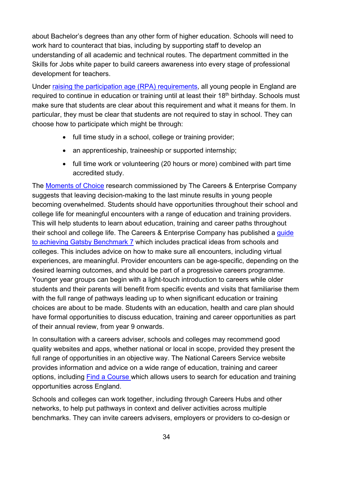about Bachelor's degrees than any other form of higher education. Schools will need to work hard to counteract that bias, including by supporting staff to develop an understanding of all academic and technical routes. The department committed in the Skills for Jobs white paper to build careers awareness into every stage of professional development for teachers.

Under [raising the participation age \(RPA\) requirements,](https://www.gov.uk/government/publications/participation-of-young-people-education-employment-and-training) all young people in England are required to continue in education or training until at least their 18<sup>th</sup> birthday. Schools must make sure that students are clear about this requirement and what it means for them. In particular, they must be clear that students are not required to stay in school. They can choose how to participate which might be through:

- full time study in a school, college or training provider;
- an apprenticeship, traineeship or supported internship;
- full time work or volunteering (20 hours or more) combined with part time accredited study.

The [Moments of Choice](https://www.careersandenterprise.co.uk/research/publications/moments-choice) research commissioned by The Careers & Enterprise Company suggests that leaving decision-making to the last minute results in young people becoming overwhelmed. Students should have opportunities throughout their school and college life for meaningful encounters with a range of education and training providers. This will help students to learn about education, training and career paths throughout their school and college life. The Careers & Enterprise Company has published a guide [to achieving Gatsby Benchmark 7](https://www.careersandenterprise.co.uk/sites/default/files/uploaded/1445_bm7_final.pdf) which includes practical ideas from schools and colleges. This includes advice on how to make sure all encounters, including virtual experiences, are meaningful. Provider encounters can be age-specific, depending on the desired learning outcomes, and should be part of a progressive careers programme. Younger year groups can begin with a light-touch introduction to careers while older students and their parents will benefit from specific events and visits that familiarise them with the full range of pathways leading up to when significant education or training choices are about to be made. Students with an education, health and care plan should have formal opportunities to discuss education, training and career opportunities as part of their annual review, from year 9 onwards.

In consultation with a careers adviser, schools and colleges may recommend good quality websites and apps, whether national or local in scope, provided they present the full range of opportunities in an objective way. The National Careers Service website provides information and advice on a wide range of education, training and career options, including [Find a Course](https://nationalcareers.service.gov.uk/find-a-course) which allows users to search for education and training opportunities across England.

Schools and colleges can work together, including through Careers Hubs and other networks, to help put pathways in context and deliver activities across multiple benchmarks. They can invite careers advisers, employers or providers to co-design or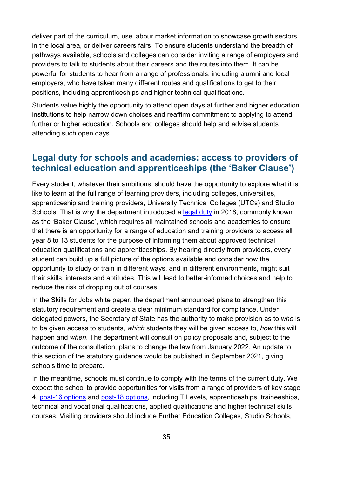deliver part of the curriculum, use labour market information to showcase growth sectors in the local area, or deliver careers fairs. To ensure students understand the breadth of pathways available, schools and colleges can consider inviting a range of employers and providers to talk to students about their careers and the routes into them. It can be powerful for students to hear from a range of professionals, including alumni and local employers, who have taken many different routes and qualifications to get to their positions, including apprenticeships and higher technical qualifications.

Students value highly the opportunity to attend open days at further and higher education institutions to help narrow down choices and reaffirm commitment to applying to attend further or higher education. Schools and colleges should help and advise students attending such open days.

## <span id="page-34-0"></span>**Legal duty for schools and academies: access to providers of technical education and apprenticeships (the 'Baker Clause')**

Every student, whatever their ambitions, should have the opportunity to explore what it is like to learn at the full range of learning providers, including colleges, universities, apprenticeship and training providers, University Technical Colleges (UTCs) and Studio Schools. That is why the department introduced a [legal duty](https://www.legislation.gov.uk/ukpga/2009/22/section/A2DA) in 2018, commonly known as the 'Baker Clause', which requires all maintained schools and academies to ensure that there is an opportunity for a range of education and training providers to access all year 8 to 13 students for the purpose of informing them about approved technical education qualifications and apprenticeships. By hearing directly from providers, every student can build up a full picture of the options available and consider how the opportunity to study or train in different ways, and in different environments, might suit their skills, interests and aptitudes. This will lead to better-informed choices and help to reduce the risk of dropping out of courses.

In the Skills for Jobs white paper, the department announced plans to strengthen this statutory requirement and create a clear minimum standard for compliance. Under delegated powers, the Secretary of State has the authority to make provision as to *who* is to be given access to students, *which* students they will be given access to, *how* this will happen and *when*. The department will consult on policy proposals and, subject to the outcome of the consultation, plans to change the law from January 2022. An update to this section of the statutory guidance would be published in September 2021, giving schools time to prepare.

In the meantime, schools must continue to comply with the terms of the current duty. We expect the school to provide opportunities for visits from a range of providers of key stage 4, [post-16 options](https://nationalcareers.service.gov.uk/careers-advice/career-choices-at-16) and [post-18 options,](https://nationalcareers.service.gov.uk/careers-advice/career-choices-at-18) including T Levels, apprenticeships, traineeships, technical and vocational qualifications, applied qualifications and higher technical skills courses. Visiting providers should include Further Education Colleges, Studio Schools,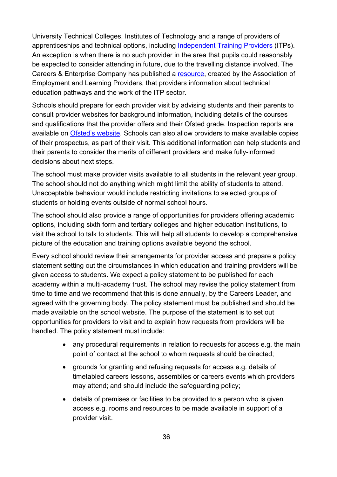University Technical Colleges, Institutes of Technology and a range of providers of apprenticeships and technical options, including [Independent Training Providers](https://resources.careersandenterprise.co.uk/sites/default/files/2021-04/WhatsNext-AD-1.pdf) (ITPs). An exception is when there is no such provider in the area that pupils could reasonably be expected to consider attending in future, due to the travelling distance involved. The Careers & Enterprise Company has published a [resource,](https://resources.careersandenterprise.co.uk/resources/technical-education-pathways-resource) created by the Association of Employment and Learning Providers, that providers information about technical education pathways and the work of the ITP sector.

Schools should prepare for each provider visit by advising students and their parents to consult provider websites for background information, including details of the courses and qualifications that the provider offers and their Ofsted grade. Inspection reports are available on [Ofsted's website.](https://reports.ofsted.gov.uk/) Schools can also allow providers to make available copies of their prospectus, as part of their visit. This additional information can help students and their parents to consider the merits of different providers and make fully-informed decisions about next steps.

The school must make provider visits available to all students in the relevant year group. The school should not do anything which might limit the ability of students to attend. Unacceptable behaviour would include restricting invitations to selected groups of students or holding events outside of normal school hours.

The school should also provide a range of opportunities for providers offering academic options, including sixth form and tertiary colleges and higher education institutions, to visit the school to talk to students. This will help all students to develop a comprehensive picture of the education and training options available beyond the school.

Every school should review their arrangements for provider access and prepare a policy statement setting out the circumstances in which education and training providers will be given access to students. We expect a policy statement to be published for each academy within a multi-academy trust. The school may revise the policy statement from time to time and we recommend that this is done annually, by the Careers Leader, and agreed with the governing body. The policy statement must be published and should be made available on the school website. The purpose of the statement is to set out opportunities for providers to visit and to explain how requests from providers will be handled. The policy statement must include:

- any procedural requirements in relation to requests for access e.g. the main point of contact at the school to whom requests should be directed;
- grounds for granting and refusing requests for access e.g. details of timetabled careers lessons, assemblies or careers events which providers may attend; and should include the safeguarding policy;
- details of premises or facilities to be provided to a person who is given access e.g. rooms and resources to be made available in support of a provider visit.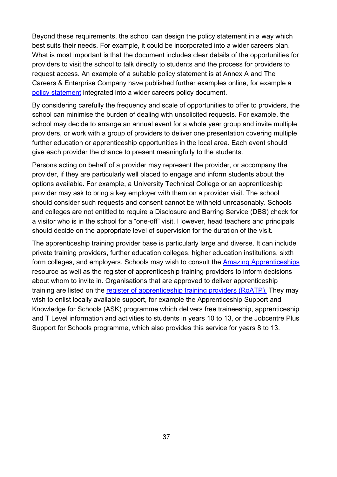Beyond these requirements, the school can design the policy statement in a way which best suits their needs. For example, it could be incorporated into a wider careers plan. What is most important is that the document includes clear details of the opportunities for providers to visit the school to talk directly to students and the process for providers to request access. An example of a suitable policy statement is at Annex A and The Careers & Enterprise Company have published further examples online, for example a [policy statement](https://resources.careersandenterprise.co.uk/resources/ceiag-example-policy) integrated into a wider careers policy document.

By considering carefully the frequency and scale of opportunities to offer to providers, the school can minimise the burden of dealing with unsolicited requests. For example, the school may decide to arrange an annual event for a whole year group and invite multiple providers, or work with a group of providers to deliver one presentation covering multiple further education or apprenticeship opportunities in the local area. Each event should give each provider the chance to present meaningfully to the students.

Persons acting on behalf of a provider may represent the provider, or accompany the provider, if they are particularly well placed to engage and inform students about the options available. For example, a University Technical College or an apprenticeship provider may ask to bring a key employer with them on a provider visit. The school should consider such requests and consent cannot be withheld unreasonably. Schools and colleges are not entitled to require a Disclosure and Barring Service (DBS) check for a visitor who is in the school for a "one-off" visit. However, head teachers and principals should decide on the appropriate level of supervision for the duration of the visit.

The apprenticeship training provider base is particularly large and diverse. It can include private training providers, further education colleges, higher education institutions, sixth form colleges, and employers. Schools may wish to consult the [Amazing Apprenticeships](http://amazingapprenticeships.com/) resource as well as the register of apprenticeship training providers to inform decisions about whom to invite in. Organisations that are approved to deliver apprenticeship training are listed on the [register of apprenticeship training providers \(RoATP\).](https://www.gov.uk/guidance/register-of-apprenticeship-training-providers) They may wish to enlist locally available support, for example the Apprenticeship Support and Knowledge for Schools (ASK) programme which delivers free traineeship, apprenticeship and T Level information and activities to students in years 10 to 13, or the Jobcentre Plus Support for Schools programme, which also provides this service for years 8 to 13.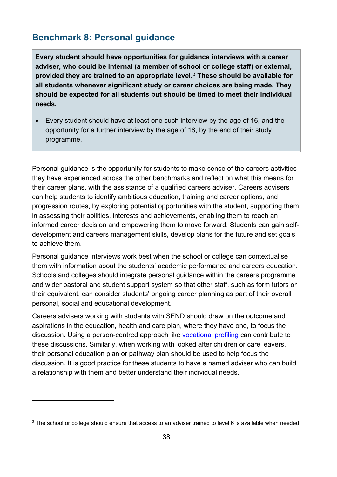## <span id="page-37-0"></span>**Benchmark 8: Personal guidance**

**Every student should have opportunities for guidance interviews with a career adviser, who could be internal (a member of school or college staff) or external, provided they are trained to an appropriate level.[3](#page-37-1) These should be available for all students whenever significant study or career choices are being made. They should be expected for all students but should be timed to meet their individual needs.**

• Every student should have at least one such interview by the age of 16, and the opportunity for a further interview by the age of 18, by the end of their study programme.

Personal guidance is the opportunity for students to make sense of the careers activities they have experienced across the other benchmarks and reflect on what this means for their career plans, with the assistance of a qualified careers adviser. Careers advisers can help students to identify ambitious education, training and career options, and progression routes, by exploring potential opportunities with the student, supporting them in assessing their abilities, interests and achievements, enabling them to reach an informed career decision and empowering them to move forward. Students can gain selfdevelopment and careers management skills, develop plans for the future and set goals to achieve them.

Personal guidance interviews work best when the school or college can contextualise them with information about the students' academic performance and careers education. Schools and colleges should integrate personal guidance within the careers programme and wider pastoral and student support system so that other staff, such as form tutors or their equivalent, can consider students' ongoing career planning as part of their overall personal, social and educational development.

Careers advisers working with students with SEND should draw on the outcome and aspirations in the education, health and care plan, where they have one, to focus the discussion. Using a person-centred approach like [vocational profiling](https://www.preparingforadulthood.org.uk/downloads/person-centred-planning/introduction-to-person-centred-planning-tools.htm) can contribute to these discussions. Similarly, when working with looked after children or care leavers, their personal education plan or pathway plan should be used to help focus the discussion. It is good practice for these students to have a named adviser who can build a relationship with them and better understand their individual needs.

<span id="page-37-1"></span> $3$  The school or college should ensure that access to an adviser trained to level 6 is available when needed.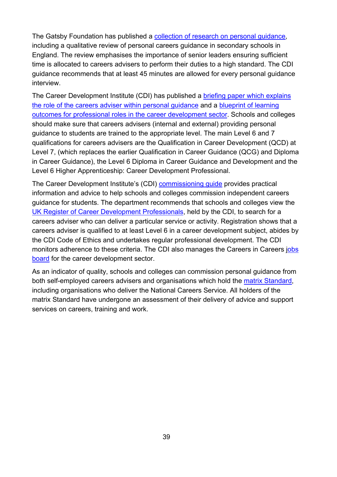The Gatsby Foundation has published a collection of [research on personal guidance,](https://www.gatsby.org.uk/uploads/education/reports/pdf/personal-guidance-in-careers-summary-of-research-2019-20.pdf) including a qualitative review of personal careers guidance in secondary schools in England. The review emphasises the importance of senior leaders ensuring sufficient time is allocated to careers advisers to perform their duties to a high standard. The CDI guidance recommends that at least 45 minutes are allowed for every personal guidance interview.

The Career Development Institute (CDI) has published a [briefing paper which explains](https://www.thecdi.net/write/CDI_27-Briefing-_Personal_Guidance-_FINAL.pdf)  [the role of the careers adviser within personal guidance](https://www.thecdi.net/write/CDI_27-Briefing-_Personal_Guidance-_FINAL.pdf) and a [blueprint of learning](https://www.thecdi.net/write/Documents/2021_CDI_Blueprint_of_Learning_Outcomes_for_Professional_Roles_in_the_Career_Development_Sector.pdf)  [outcomes for professional roles in the career development sector.](https://www.thecdi.net/write/Documents/2021_CDI_Blueprint_of_Learning_Outcomes_for_Professional_Roles_in_the_Career_Development_Sector.pdf) Schools and colleges should make sure that careers advisers (internal and external) providing personal guidance to students are trained to the appropriate level. The main Level 6 and 7 qualifications for careers advisers are the Qualification in Career Development (QCD) at Level 7, (which replaces the earlier Qualification in Career Guidance (QCG) and Diploma in Career Guidance), the Level 6 Diploma in Career Guidance and Development and the Level 6 Higher Apprenticeship: Career Development Professional.

The Career Development Institute's (CDI) [commissioning guide](https://www.thecdi.net/write/BP560-Career_Guidance_in_Schools_2018-Web.pdf) provides practical information and advice to help schools and colleges commission independent careers guidance for students. The department recommends that schools and colleges view the [UK Register of Career Development Professionals,](https://www.thecdi.net/Professional-Register-) held by the CDI, to search for a careers adviser who can deliver a particular service or activity. Registration shows that a careers adviser is qualified to at least Level 6 in a career development subject, abides by the CDI Code of Ethics and undertakes regular professional development. The CDI monitors adherence to these criteria. The CDI also manages the Careers in Careers [jobs](https://jobs.thecdi.net/)  [board](https://jobs.thecdi.net/) for the career development sector.

As an indicator of quality, schools and colleges can commission personal guidance from both self-employed careers advisers and organisations which hold the [matrix Standard,](https://matrixstandard.com/) including organisations who deliver the National Careers Service. All holders of the matrix Standard have undergone an assessment of their delivery of advice and support services on careers, training and work.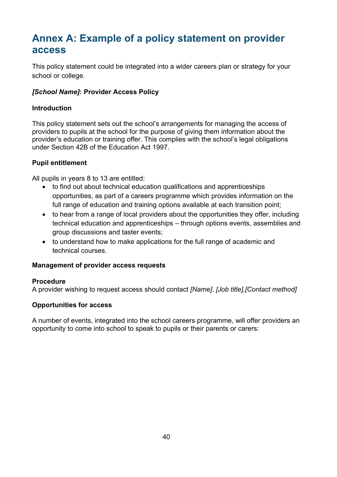# <span id="page-39-0"></span>**Annex A: Example of a policy statement on provider access**

This policy statement could be integrated into a wider careers plan or strategy for your school or college.

#### *[School Name]***: Provider Access Policy**

#### **Introduction**

This policy statement sets out the school's arrangements for managing the access of providers to pupils at the school for the purpose of giving them information about the provider's education or training offer. This complies with the school's legal obligations under Section 42B of the Education Act 1997.

#### **Pupil entitlement**

All pupils in years 8 to 13 are entitled:

- to find out about technical education qualifications and apprenticeships opportunities, as part of a careers programme which provides information on the full range of education and training options available at each transition point;
- to hear from a range of local providers about the opportunities they offer, including technical education and apprenticeships – through options events, assemblies and group discussions and taster events;
- to understand how to make applications for the full range of academic and technical courses.

#### **Management of provider access requests**

#### **Procedure**

A provider wishing to request access should contact *[Name]*, *[Job title],[Contact method]*

#### **Opportunities for access**

A number of events, integrated into the school careers programme, will offer providers an opportunity to come into school to speak to pupils or their parents or carers: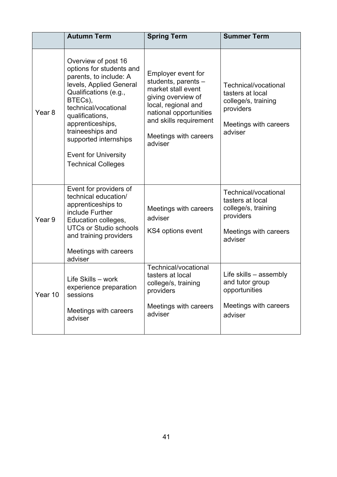|                   | <b>Autumn Term</b>                                                                                                                                                                                                                                                                                               | <b>Spring Term</b>                                                                                                                                                                                   | <b>Summer Term</b>                                                                                               |
|-------------------|------------------------------------------------------------------------------------------------------------------------------------------------------------------------------------------------------------------------------------------------------------------------------------------------------------------|------------------------------------------------------------------------------------------------------------------------------------------------------------------------------------------------------|------------------------------------------------------------------------------------------------------------------|
| Year <sub>8</sub> | Overview of post 16<br>options for students and<br>parents, to include: A<br>levels, Applied General<br>Qualifications (e.g.,<br>BTECs),<br>technical/vocational<br>qualifications,<br>apprenticeships,<br>traineeships and<br>supported internships<br><b>Event for University</b><br><b>Technical Colleges</b> | Employer event for<br>students, parents -<br>market stall event<br>giving overview of<br>local, regional and<br>national opportunities<br>and skills requirement<br>Meetings with careers<br>adviser | Technical/vocational<br>tasters at local<br>college/s, training<br>providers<br>Meetings with careers<br>adviser |
| Year 9            | Event for providers of<br>technical education/<br>apprenticeships to<br>include Further<br>Education colleges,<br><b>UTCs or Studio schools</b><br>and training providers<br>Meetings with careers<br>adviser                                                                                                    | Meetings with careers<br>adviser<br>KS4 options event                                                                                                                                                | Technical/vocational<br>tasters at local<br>college/s, training<br>providers<br>Meetings with careers<br>adviser |
| Year 10           | Life Skills - work<br>experience preparation<br>sessions<br>Meetings with careers<br>adviser                                                                                                                                                                                                                     | Technical/vocational<br>tasters at local<br>college/s, training<br>providers<br>Meetings with careers<br>adviser                                                                                     | Life skills $-$ assembly<br>and tutor group<br>opportunities<br>Meetings with careers<br>adviser                 |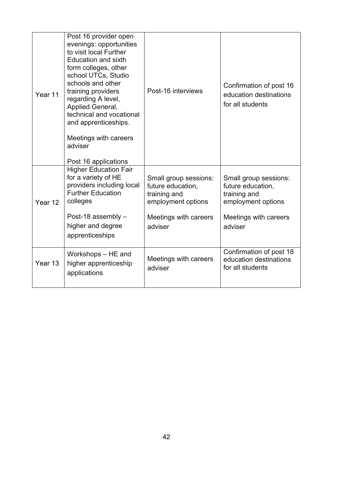| Year 11 | Post 16 provider open<br>evenings: opportunities<br>to visit local Further<br><b>Education and sixth</b><br>form colleges, other<br>school UTCs, Studio<br>schools and other<br>training providers<br>regarding A level,<br>Applied General,<br>technical and vocational<br>and apprenticeships.<br>Meetings with careers<br>adviser<br>Post 16 applications | Post-16 interviews                                                                                                   | Confirmation of post 16<br>education destinations<br>for all students                                                |
|---------|--------------------------------------------------------------------------------------------------------------------------------------------------------------------------------------------------------------------------------------------------------------------------------------------------------------------------------------------------------------|----------------------------------------------------------------------------------------------------------------------|----------------------------------------------------------------------------------------------------------------------|
| Year 12 | <b>Higher Education Fair</b><br>for a variety of HE<br>providers including local<br><b>Further Education</b><br>colleges<br>Post-18 assembly -<br>higher and degree<br>apprenticeships                                                                                                                                                                       | Small group sessions:<br>future education,<br>training and<br>employment options<br>Meetings with careers<br>adviser | Small group sessions:<br>future education,<br>training and<br>employment options<br>Meetings with careers<br>adviser |
| Year 13 | Workshops - HE and<br>higher apprenticeship<br>applications                                                                                                                                                                                                                                                                                                  | Meetings with careers<br>adviser                                                                                     | Confirmation of post 18<br>education destinations<br>for all students                                                |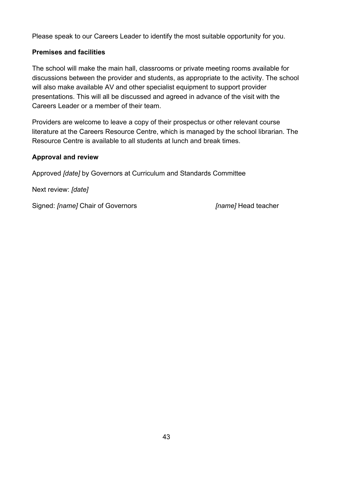Please speak to our Careers Leader to identify the most suitable opportunity for you.

#### **Premises and facilities**

The school will make the main hall, classrooms or private meeting rooms available for discussions between the provider and students, as appropriate to the activity. The school will also make available AV and other specialist equipment to support provider presentations. This will all be discussed and agreed in advance of the visit with the Careers Leader or a member of their team.

Providers are welcome to leave a copy of their prospectus or other relevant course literature at the Careers Resource Centre, which is managed by the school librarian. The Resource Centre is available to all students at lunch and break times.

#### **Approval and review**

Approved *[date]* by Governors at Curriculum and Standards Committee

Next review: *[date]*

Signed: *[name]* Chair of Governors *[name]* Head teacher